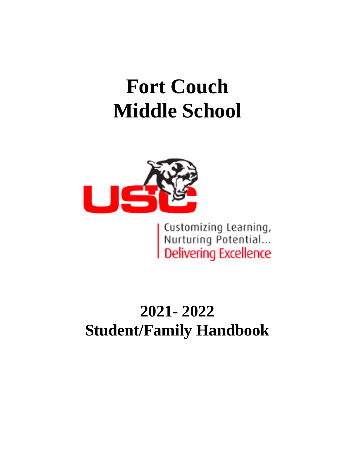# **Fort Couch Middle School**



| Customizing Learning,<br>| Nurturing Potential...<br>| Delivering Excellence

# **2021- 2022 Student/Family Handbook**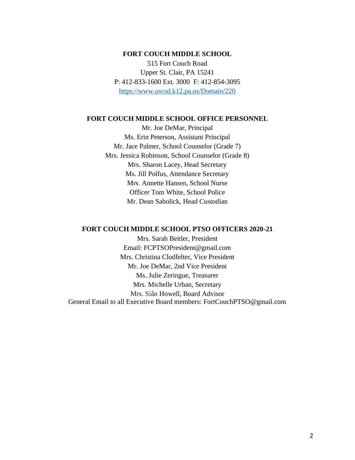#### **FORT COUCH MIDDLE SCHOOL**

515 Fort Couch Road Upper St. Clair, PA 15241 P: 412-833-1600 Ext. 3000 F: 412-854-3095 <https://www.uscsd.k12.pa.us/Domain/220>

#### **FORT COUCH MIDDLE SCHOOL OFFICE PERSONNEL**

Mr. Joe DeMar, Principal Ms. Erin Peterson, Assistant Principal Mr. Jace Palmer, School Counselor (Grade 7) Mrs. Jessica Robinson, School Counselor (Grade 8) Mrs. Sharon Lacey, Head Secretary Ms. Jill Polfus, Attendance Secretary Mrs. Annette Hansen, School Nurse Officer Tom White, School Police Mr. Dean Sabolick, Head Custodian

#### **FORT COUCH MIDDLE SCHOOL PTSO OFFICERS 2020-21**

Mrs. Sarah Beitler, President Email: FCPTSOPresident@gmail.com Mrs. Christina Clodfelter, Vice President Mr. Joe DeMar, 2nd Vice President Ms. Julie Zeringue, Treasurer Mrs. Michelle Urban, Secretary Mrs. Siân Howell, Board Advisor General Email to all Executive Board members: FortCouchPTSO@gmail.com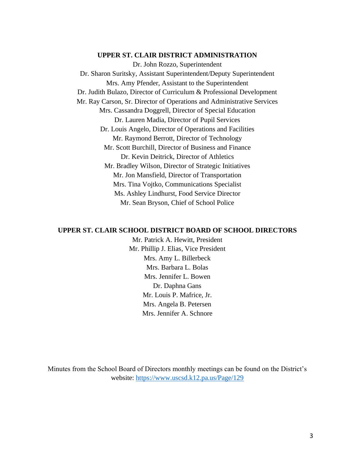#### **UPPER ST. CLAIR DISTRICT ADMINISTRATION**

Dr. John Rozzo, Superintendent Dr. Sharon Suritsky, Assistant Superintendent/Deputy Superintendent Mrs. Amy Pfender, Assistant to the Superintendent Dr. Judith Bulazo, Director of Curriculum & Professional Development Mr. Ray Carson, Sr. Director of Operations and Administrative Services Mrs. Cassandra Doggrell, Director of Special Education Dr. Lauren Madia, Director of Pupil Services Dr. Louis Angelo, Director of Operations and Facilities Mr. Raymond Berrott, Director of Technology Mr. Scott Burchill, Director of Business and Finance Dr. Kevin Deitrick, Director of Athletics Mr. Bradley Wilson, Director of Strategic Initiatives Mr. Jon Mansfield, Director of Transportation Mrs. Tina Vojtko, Communications Specialist Ms. Ashley Lindhurst, Food Service Director Mr. Sean Bryson, Chief of School Police

#### **UPPER ST. CLAIR SCHOOL DISTRICT BOARD OF SCHOOL DIRECTORS**

Mr. Patrick A. Hewitt, President Mr. Phillip J. Elias, Vice President Mrs. Amy L. Billerbeck Mrs. Barbara L. Bolas Mrs. Jennifer L. Bowen Dr. Daphna Gans Mr. Louis P. Mafrice, Jr. Mrs. Angela B. Petersen Mrs. Jennifer A. Schnore

Minutes from the School Board of Directors monthly meetings can be found on the District's website:<https://www.uscsd.k12.pa.us/Page/129>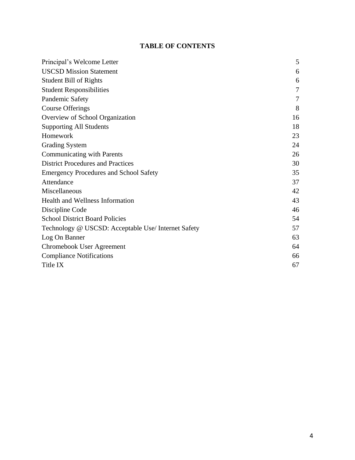# **TABLE OF CONTENTS**

| Principal's Welcome Letter                          | 5  |
|-----------------------------------------------------|----|
| <b>USCSD Mission Statement</b>                      | 6  |
| <b>Student Bill of Rights</b>                       | 6  |
| <b>Student Responsibilities</b>                     | 7  |
| Pandemic Safety                                     | 7  |
| Course Offerings                                    | 8  |
| Overview of School Organization                     | 16 |
| <b>Supporting All Students</b>                      | 18 |
| Homework                                            | 23 |
| <b>Grading System</b>                               | 24 |
| <b>Communicating with Parents</b>                   | 26 |
| <b>District Procedures and Practices</b>            | 30 |
| <b>Emergency Procedures and School Safety</b>       | 35 |
| Attendance                                          | 37 |
| Miscellaneous                                       | 42 |
| <b>Health and Wellness Information</b>              | 43 |
| Discipline Code                                     | 46 |
| <b>School District Board Policies</b>               | 54 |
| Technology @ USCSD: Acceptable Use/ Internet Safety | 57 |
| Log On Banner                                       | 63 |
| Chromebook User Agreement                           | 64 |
| <b>Compliance Notifications</b>                     | 66 |
| Title IX                                            | 67 |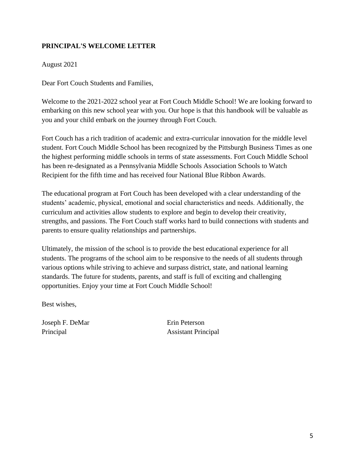# **PRINCIPAL'S WELCOME LETTER**

August 2021

Dear Fort Couch Students and Families,

Welcome to the 2021-2022 school year at Fort Couch Middle School! We are looking forward to embarking on this new school year with you. Our hope is that this handbook will be valuable as you and your child embark on the journey through Fort Couch.

Fort Couch has a rich tradition of academic and extra-curricular innovation for the middle level student. Fort Couch Middle School has been recognized by the Pittsburgh Business Times as one the highest performing middle schools in terms of state assessments. Fort Couch Middle School has been re-designated as a Pennsylvania Middle Schools Association Schools to Watch Recipient for the fifth time and has received four National Blue Ribbon Awards.

The educational program at Fort Couch has been developed with a clear understanding of the students' academic, physical, emotional and social characteristics and needs. Additionally, the curriculum and activities allow students to explore and begin to develop their creativity, strengths, and passions. The Fort Couch staff works hard to build connections with students and parents to ensure quality relationships and partnerships.

Ultimately, the mission of the school is to provide the best educational experience for all students. The programs of the school aim to be responsive to the needs of all students through various options while striving to achieve and surpass district, state, and national learning standards. The future for students, parents, and staff is full of exciting and challenging opportunities. Enjoy your time at Fort Couch Middle School!

Best wishes,

Joseph F. DeMar Erin Peterson

Principal Assistant Principal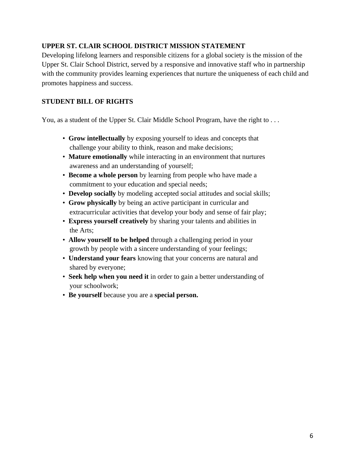# **UPPER ST. CLAIR SCHOOL DISTRICT MISSION STATEMENT**

Developing lifelong learners and responsible citizens for a global society is the mission of the Upper St. Clair School District, served by a responsive and innovative staff who in partnership with the community provides learning experiences that nurture the uniqueness of each child and promotes happiness and success.

### **STUDENT BILL OF RIGHTS**

You, as a student of the Upper St. Clair Middle School Program, have the right to ...

- **Grow intellectually** by exposing yourself to ideas and concepts that challenge your ability to think, reason and make decisions;
- **Mature emotionally** while interacting in an environment that nurtures awareness and an understanding of yourself;
- **Become a whole person** by learning from people who have made a commitment to your education and special needs;
- **Develop socially** by modeling accepted social attitudes and social skills;
- **Grow physically** by being an active participant in curricular and extracurricular activities that develop your body and sense of fair play;
- **Express yourself creatively** by sharing your talents and abilities in the Arts;
- **Allow yourself to be helped** through a challenging period in your growth by people with a sincere understanding of your feelings;
- **Understand your fears** knowing that your concerns are natural and shared by everyone;
- **Seek help when you need it** in order to gain a better understanding of your schoolwork;
- **Be yourself** because you are a **special person.**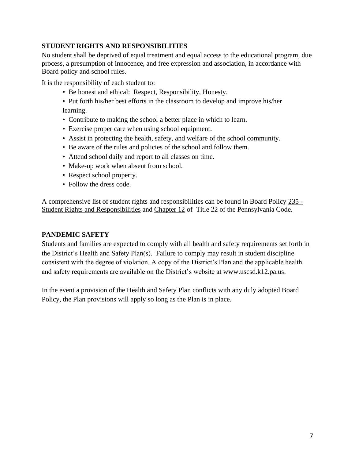# **STUDENT RIGHTS AND RESPONSIBILITIES**

No student shall be deprived of equal treatment and equal access to the educational program, due process, a presumption of innocence, and free expression and association, in accordance with Board policy and school rules.

It is the responsibility of each student to:

- Be honest and ethical: Respect, Responsibility, Honesty.
- Put forth his/her best efforts in the classroom to develop and improve his/her learning.
- Contribute to making the school a better place in which to learn.
- Exercise proper care when using school equipment.
- Assist in protecting the health, safety, and welfare of the school community.
- Be aware of the rules and policies of the school and follow them.
- Attend school daily and report to all classes on time.
- Make-up work when absent from school.
- Respect school property.
- Follow the dress code.

A comprehensive list of student rights and responsibilities can be found in Board Policy [235 -](https://www.uscsd.k12.pa.us/cms/lib/PA01000033/Centricity/Domain/17/235%20-%20Student%20Rights%20and%20Responsibilities.pdf) [Student Rights and Responsibilities](https://www.uscsd.k12.pa.us/cms/lib/PA01000033/Centricity/Domain/17/235%20-%20Student%20Rights%20and%20Responsibilities.pdf) and [Chapter 12](http://www.pacodeandbulletin.gov/Display/pacode?file=/secure/pacode/data/022/chapter12/chap12toc.html&d=) of Title 22 of the Pennsylvania Code.

# **PANDEMIC SAFETY**

Students and families are expected to comply with all health and safety requirements set forth in the District's Health and Safety Plan(s). Failure to comply may result in student discipline consistent with the degree of violation. A copy of the District's Plan and the applicable health and safety requirements are available on the District's website at [www.uscsd.k12.pa.us.](http://www.uscsd.k12.pa.us/)

In the event a provision of the Health and Safety Plan conflicts with any duly adopted Board Policy, the Plan provisions will apply so long as the Plan is in place.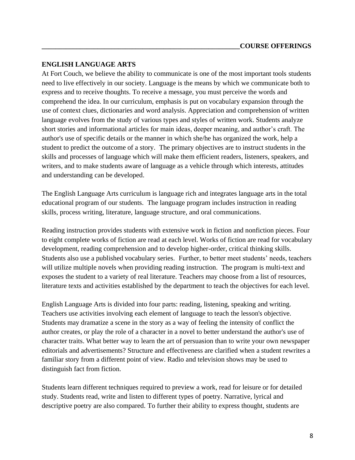#### **ENGLISH LANGUAGE ARTS**

At Fort Couch, we believe the ability to communicate is one of the most important tools students need to live effectively in our society. Language is the means by which we communicate both to express and to receive thoughts. To receive a message, you must perceive the words and comprehend the idea. In our curriculum, emphasis is put on vocabulary expansion through the use of context clues, dictionaries and word analysis. Appreciation and comprehension of written language evolves from the study of various types and styles of written work. Students analyze short stories and informational articles for main ideas, deeper meaning, and author's craft. The author's use of specific details or the manner in which she/he has organized the work, help a student to predict the outcome of a story. The primary objectives are to instruct students in the skills and processes of language which will make them efficient readers, listeners, speakers, and writers, and to make students aware of language as a vehicle through which interests, attitudes and understanding can be developed.

The English Language Arts curriculum is language rich and integrates language arts in the total educational program of our students. The language program includes instruction in reading skills, process writing, literature, language structure, and oral communications.

Reading instruction provides students with extensive work in fiction and nonfiction pieces. Four to eight complete works of fiction are read at each level. Works of fiction are read for vocabulary development, reading comprehension and to develop higher-order, critical thinking skills. Students also use a published vocabulary series. Further, to better meet students' needs, teachers will utilize multiple novels when providing reading instruction. The program is multi-text and exposes the student to a variety of real literature. Teachers may choose from a list of resources, literature texts and activities established by the department to teach the objectives for each level.

English Language Arts is divided into four parts: reading, listening, speaking and writing. Teachers use activities involving each element of language to teach the lesson's objective. Students may dramatize a scene in the story as a way of feeling the intensity of conflict the author creates, or play the role of a character in a novel to better understand the author's use of character traits. What better way to learn the art of persuasion than to write your own newspaper editorials and advertisements? Structure and effectiveness are clarified when a student rewrites a familiar story from a different point of view. Radio and television shows may be used to distinguish fact from fiction.

Students learn different techniques required to preview a work, read for leisure or for detailed study. Students read, write and listen to different types of poetry. Narrative, lyrical and descriptive poetry are also compared. To further their ability to express thought, students are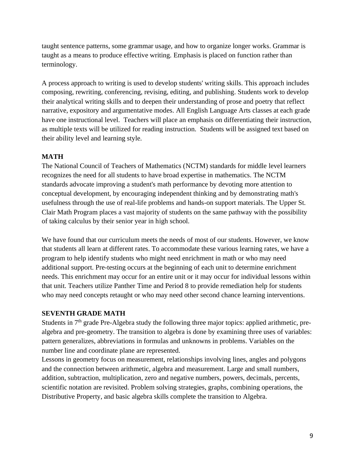taught sentence patterns, some grammar usage, and how to organize longer works. Grammar is taught as a means to produce effective writing. Emphasis is placed on function rather than terminology.

A process approach to writing is used to develop students' writing skills. This approach includes composing, rewriting, conferencing, revising, editing, and publishing. Students work to develop their analytical writing skills and to deepen their understanding of prose and poetry that reflect narrative, expository and argumentative modes. All English Language Arts classes at each grade have one instructional level. Teachers will place an emphasis on differentiating their instruction, as multiple texts will be utilized for reading instruction. Students will be assigned text based on their ability level and learning style.

### **MATH**

The National Council of Teachers of Mathematics (NCTM) standards for middle level learners recognizes the need for all students to have broad expertise in mathematics. The NCTM standards advocate improving a student's math performance by devoting more attention to conceptual development, by encouraging independent thinking and by demonstrating math's usefulness through the use of real-life problems and hands-on support materials. The Upper St. Clair Math Program places a vast majority of students on the same pathway with the possibility of taking calculus by their senior year in high school.

We have found that our curriculum meets the needs of most of our students. However, we know that students all learn at different rates. To accommodate these various learning rates, we have a program to help identify students who might need enrichment in math or who may need additional support. Pre-testing occurs at the beginning of each unit to determine enrichment needs. This enrichment may occur for an entire unit or it may occur for individual lessons within that unit. Teachers utilize Panther Time and Period 8 to provide remediation help for students who may need concepts retaught or who may need other second chance learning interventions.

# **SEVENTH GRADE MATH**

Students in 7<sup>th</sup> grade Pre-Algebra study the following three major topics: applied arithmetic, prealgebra and pre-geometry. The transition to algebra is done by examining three uses of variables: pattern generalizes, abbreviations in formulas and unknowns in problems. Variables on the number line and coordinate plane are represented.

Lessons in geometry focus on measurement, relationships involving lines, angles and polygons and the connection between arithmetic, algebra and measurement. Large and small numbers, addition, subtraction, multiplication, zero and negative numbers, powers, decimals, percents, scientific notation are revisited. Problem solving strategies, graphs, combining operations, the Distributive Property, and basic algebra skills complete the transition to Algebra.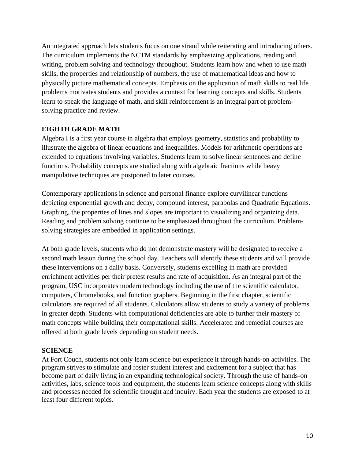An integrated approach lets students focus on one strand while reiterating and introducing others. The curriculum implements the NCTM standards by emphasizing applications, reading and writing, problem solving and technology throughout. Students learn how and when to use math skills, the properties and relationship of numbers, the use of mathematical ideas and how to physically picture mathematical concepts. Emphasis on the application of math skills to real life problems motivates students and provides a context for learning concepts and skills. Students learn to speak the language of math, and skill reinforcement is an integral part of problemsolving practice and review.

#### **EIGHTH GRADE MATH**

Algebra I is a first year course in algebra that employs geometry, statistics and probability to illustrate the algebra of linear equations and inequalities. Models for arithmetic operations are extended to equations involving variables. Students learn to solve linear sentences and define functions. Probability concepts are studied along with algebraic fractions while heavy manipulative techniques are postponed to later courses.

Contemporary applications in science and personal finance explore curvilinear functions depicting exponential growth and decay, compound interest, parabolas and Quadratic Equations. Graphing, the properties of lines and slopes are important to visualizing and organizing data. Reading and problem solving continue to be emphasized throughout the curriculum. Problemsolving strategies are embedded in application settings.

At both grade levels, students who do not demonstrate mastery will be designated to receive a second math lesson during the school day. Teachers will identify these students and will provide these interventions on a daily basis. Conversely, students excelling in math are provided enrichment activities per their pretest results and rate of acquisition. As an integral part of the program, USC incorporates modern technology including the use of the scientific calculator, computers, Chromebooks, and function graphers. Beginning in the first chapter, scientific calculators are required of all students. Calculators allow students to study a variety of problems in greater depth. Students with computational deficiencies are able to further their mastery of math concepts while building their computational skills. Accelerated and remedial courses are offered at both grade levels depending on student needs.

#### **SCIENCE**

At Fort Couch, students not only learn science but experience it through hands-on activities. The program strives to stimulate and foster student interest and excitement for a subject that has become part of daily living in an expanding technological society. Through the use of hands-on activities, labs, science tools and equipment, the students learn science concepts along with skills and processes needed for scientific thought and inquiry. Each year the students are exposed to at least four different topics.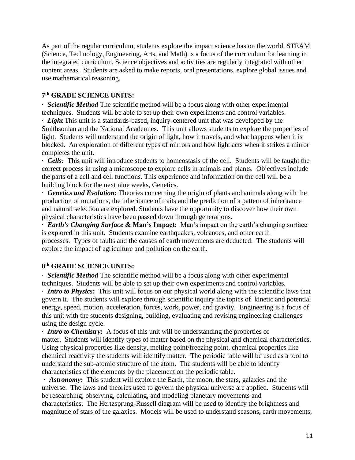As part of the regular curriculum, students explore the impact science has on the world. STEAM (Science, Technology, Engineering, Arts, and Math) is a focus of the curriculum for learning in the integrated curriculum. Science objectives and activities are regularly integrated with other content areas. Students are asked to make reports, oral presentations, explore global issues and use mathematical reasoning.

#### **7 th GRADE SCIENCE UNITS:**

· *Scientific Method* The scientific method will be a focus along with other experimental techniques. Students will be able to set up their own experiments and control variables. · *Light* This unit is a standards-based, inquiry-centered unit that was developed by the Smithsonian and the National Academies. This unit allows students to explore the properties of light. Students will understand the origin of light, how it travels, and what happens when it is blocked. An exploration of different types of mirrors and how light acts when it strikes a mirror completes the unit.

· *Cells:* This unit will introduce students to homeostasis of the cell. Students will be taught the correct process in using a microscope to explore cells in animals and plants. Objectives include the parts of a cell and cell functions. This experience and information on the cell will be a building block for the next nine weeks, Genetics.

· *Genetics and Evolution***:** Theories concerning the origin of plants and animals along with the production of mutations, the inheritance of traits and the prediction of a pattern of inheritance and natural selection are explored. Students have the opportunity to discover how their own physical characteristics have been passed down through generations.

· *Earth's Changing Surface* **& Man's Impact:** Man's impact on the earth's changing surface is explored in this unit. Students examine earthquakes, volcanoes, and other earth processes. Types of faults and the causes of earth movements are deducted. The students will explore the impact of agriculture and pollution on the earth.

#### **8 th GRADE SCIENCE UNITS:**

· *Scientific Method* The scientific method will be a focus along with other experimental techniques. Students will be able to set up their own experiments and control variables.

· *Intro to Physics***:** This unit will focus on our physical world along with the scientific laws that govern it. The students will explore through scientific inquiry the topics of kinetic and potential energy, speed, motion, acceleration, forces, work, power, and gravity. Engineering is a focus of this unit with the students designing, building, evaluating and revising engineering challenges using the design cycle.

· *Intro to Chemistry***:** A focus of this unit will be understanding the properties of matter. Students will identify types of matter based on the physical and chemical characteristics. Using physical properties like density, melting point/freezing point, chemical properties like chemical reactivity the students will identify matter. The periodic table will be used as a tool to understand the sub-atomic structure of the atom. The students will be able to identify characteristics of the elements by the placement on the periodic table.

· *Astronomy***:** This student will explore the Earth, the moon, the stars, galaxies and the universe. The laws and theories used to govern the physical universe are applied. Students will be researching, observing, calculating, and modeling planetary movements and characteristics. The Hertzsprung-Russell diagram will be used to identify the brightness and magnitude of stars of the galaxies. Models will be used to understand seasons, earth movements,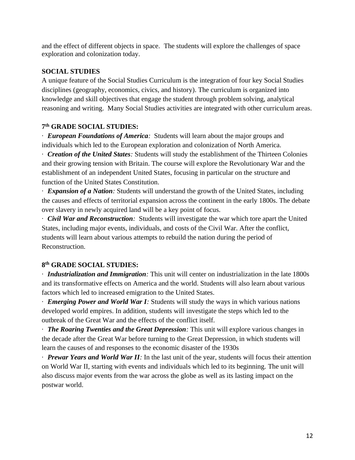and the effect of different objects in space. The students will explore the challenges of space exploration and colonization today.

### **SOCIAL STUDIES**

A unique feature of the Social Studies Curriculum is the integration of four key Social Studies disciplines (geography, economics, civics, and history). The curriculum is organized into knowledge and skill objectives that engage the student through problem solving, analytical reasoning and writing. Many Social Studies activities are integrated with other curriculum areas.

# **7 th GRADE SOCIAL STUDIES:**

· *European Foundations of America:* Students will learn about the major groups and individuals which led to the European exploration and colonization of North America.

· *Creation of the United States:* Students will study the establishment of the Thirteen Colonies and their growing tension with Britain. The course will explore the Revolutionary War and the establishment of an independent United States, focusing in particular on the structure and function of the United States Constitution.

· *Expansion of a Nation:* Students will understand the growth of the United States, including the causes and effects of territorial expansion across the continent in the early 1800s. The debate over slavery in newly acquired land will be a key point of focus.

· *Civil War and Reconstruction:* Students will investigate the war which tore apart the United States, including major events, individuals, and costs of the Civil War. After the conflict, students will learn about various attempts to rebuild the nation during the period of Reconstruction.

# **8 th GRADE SOCIAL STUDIES:**

· *Industrialization and Immigration:* This unit will center on industrialization in the late 1800s and its transformative effects on America and the world. Students will also learn about various factors which led to increased emigration to the United States.

· *Emerging Power and World War I:* Students will study the ways in which various nations developed world empires. In addition, students will investigate the steps which led to the outbreak of the Great War and the effects of the conflict itself.

· *The Roaring Twenties and the Great Depression:* This unit will explore various changes in the decade after the Great War before turning to the Great Depression, in which students will learn the causes of and responses to the economic disaster of the 1930s

· *Prewar Years and World War II:* In the last unit of the year, students will focus their attention on World War II, starting with events and individuals which led to its beginning. The unit will also discuss major events from the war across the globe as well as its lasting impact on the postwar world.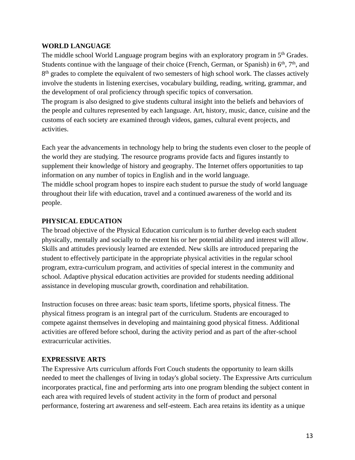#### **WORLD LANGUAGE**

The middle school World Language program begins with an exploratory program in 5<sup>th</sup> Grades. Students continue with the language of their choice (French, German, or Spanish) in  $6<sup>th</sup>$ ,  $7<sup>th</sup>$ , and 8<sup>th</sup> grades to complete the equivalent of two semesters of high school work. The classes actively involve the students in listening exercises, vocabulary building, reading, writing, grammar, and the development of oral proficiency through specific topics of conversation.

The program is also designed to give students cultural insight into the beliefs and behaviors of the people and cultures represented by each language. Art, history, music, dance, cuisine and the customs of each society are examined through videos, games, cultural event projects, and activities.

Each year the advancements in technology help to bring the students even closer to the people of the world they are studying. The resource programs provide facts and figures instantly to supplement their knowledge of history and geography. The Internet offers opportunities to tap information on any number of topics in English and in the world language. The middle school program hopes to inspire each student to pursue the study of world language throughout their life with education, travel and a continued awareness of the world and its people.

#### **PHYSICAL EDUCATION**

The broad objective of the Physical Education curriculum is to further develop each student physically, mentally and socially to the extent his or her potential ability and interest will allow. Skills and attitudes previously learned are extended. New skills are introduced preparing the student to effectively participate in the appropriate physical activities in the regular school program, extra-curriculum program, and activities of special interest in the community and school. Adaptive physical education activities are provided for students needing additional assistance in developing muscular growth, coordination and rehabilitation.

Instruction focuses on three areas: basic team sports, lifetime sports, physical fitness. The physical fitness program is an integral part of the curriculum. Students are encouraged to compete against themselves in developing and maintaining good physical fitness. Additional activities are offered before school, during the activity period and as part of the after-school extracurricular activities.

#### **EXPRESSIVE ARTS**

The Expressive Arts curriculum affords Fort Couch students the opportunity to learn skills needed to meet the challenges of living in today's global society. The Expressive Arts curriculum incorporates practical, fine and performing arts into one program blending the subject content in each area with required levels of student activity in the form of product and personal performance, fostering art awareness and self-esteem. Each area retains its identity as a unique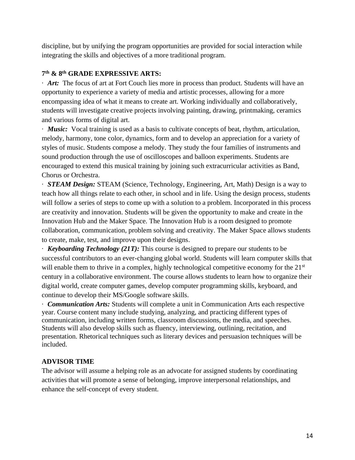discipline, but by unifying the program opportunities are provided for social interaction while integrating the skills and objectives of a more traditional program.

# **7 th & 8th GRADE EXPRESSIVE ARTS:**

· *Art:* The focus of art at Fort Couch lies more in process than product. Students will have an opportunity to experience a variety of media and artistic processes, allowing for a more encompassing idea of what it means to create art. Working individually and collaboratively, students will investigate creative projects involving painting, drawing, printmaking, ceramics and various forms of digital art.

· *Music:* Vocal training is used as a basis to cultivate concepts of beat, rhythm, articulation, melody, harmony, tone color, dynamics, form and to develop an appreciation for a variety of styles of music. Students compose a melody. They study the four families of instruments and sound production through the use of oscilloscopes and balloon experiments. Students are encouraged to extend this musical training by joining such extracurricular activities as Band, Chorus or Orchestra.

· *STEAM Design:* STEAM (Science, Technology, Engineering, Art, Math) Design is a way to teach how all things relate to each other, in school and in life. Using the design process, students will follow a series of steps to come up with a solution to a problem. Incorporated in this process are creativity and innovation. Students will be given the opportunity to make and create in the Innovation Hub and the Maker Space. The Innovation Hub is a room designed to promote collaboration, communication, problem solving and creativity. The Maker Space allows students to create, make, test, and improve upon their designs.

· *Keyboarding Technology (21T):* This course is designed to prepare our students to be successful contributors to an ever-changing global world. Students will learn computer skills that will enable them to thrive in a complex, highly technological competitive economy for the 21<sup>st</sup> century in a collaborative environment. The course allows students to learn how to organize their digital world, create computer games, develop computer programming skills, keyboard, and continue to develop their MS/Google software skills.

· *Communication Arts:* Students will complete a unit in Communication Arts each respective year. Course content many include studying, analyzing, and practicing different types of communication, including written forms, classroom discussions, the media, and speeches. Students will also develop skills such as fluency, interviewing, outlining, recitation, and presentation. Rhetorical techniques such as literary devices and persuasion techniques will be included.

# **ADVISOR TIME**

The advisor will assume a helping role as an advocate for assigned students by coordinating activities that will promote a sense of belonging, improve interpersonal relationships, and enhance the self-concept of every student.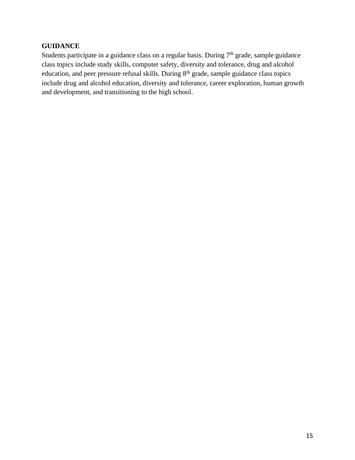#### **GUIDANCE**

Students participate in a guidance class on a regular basis. During  $7<sup>th</sup>$  grade, sample guidance class topics include study skills, computer safety, diversity and tolerance, drug and alcohol education, and peer pressure refusal skills. During 8<sup>th</sup> grade, sample guidance class topics include drug and alcohol education, diversity and tolerance, career exploration, human growth and development, and transitioning to the high school.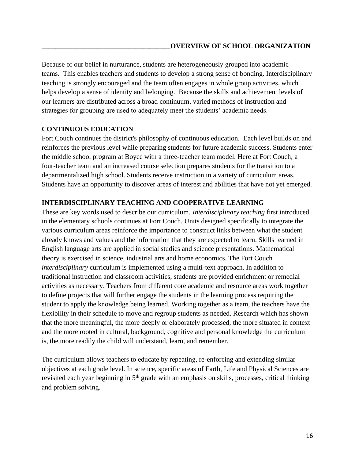Because of our belief in nurturance, students are heterogeneously grouped into academic teams. This enables teachers and students to develop a strong sense of bonding. Interdisciplinary teaching is strongly encouraged and the team often engages in whole group activities, which helps develop a sense of identity and belonging. Because the skills and achievement levels of our learners are distributed across a broad continuum, varied methods of instruction and strategies for grouping are used to adequately meet the students' academic needs.

#### **CONTINUOUS EDUCATION**

Fort Couch continues the district's philosophy of continuous education. Each level builds on and reinforces the previous level while preparing students for future academic success. Students enter the middle school program at Boyce with a three-teacher team model. Here at Fort Couch, a four-teacher team and an increased course selection prepares students for the transition to a departmentalized high school. Students receive instruction in a variety of curriculum areas. Students have an opportunity to discover areas of interest and abilities that have not yet emerged.

#### **INTERDISCIPLINARY TEACHING AND COOPERATIVE LEARNING**

These are key words used to describe our curriculum. *Interdisciplinary teaching* first introduced in the elementary schools continues at Fort Couch. Units designed specifically to integrate the various curriculum areas reinforce the importance to construct links between what the student already knows and values and the information that they are expected to learn. Skills learned in English language arts are applied in social studies and science presentations. Mathematical theory is exercised in science, industrial arts and home economics. The Fort Couch *interdisciplinary* curriculum is implemented using a multi-text approach. In addition to traditional instruction and classroom activities, students are provided enrichment or remedial activities as necessary. Teachers from different core academic and resource areas work together to define projects that will further engage the students in the learning process requiring the student to apply the knowledge being learned. Working together as a team, the teachers have the flexibility in their schedule to move and regroup students as needed. Research which has shown that the more meaningful, the more deeply or elaborately processed, the more situated in context and the more rooted in cultural, background, cognitive and personal knowledge the curriculum is, the more readily the child will understand, learn, and remember.

The curriculum allows teachers to educate by repeating, re-enforcing and extending similar objectives at each grade level. In science, specific areas of Earth, Life and Physical Sciences are revisited each year beginning in 5<sup>th</sup> grade with an emphasis on skills, processes, critical thinking and problem solving.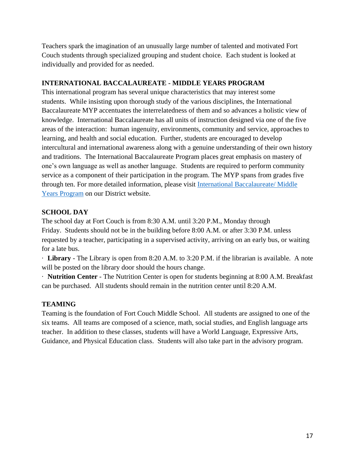Teachers spark the imagination of an unusually large number of talented and motivated Fort Couch students through specialized grouping and student choice. Each student is looked at individually and provided for as needed.

### **INTERNATIONAL BACCALAUREATE - MIDDLE YEARS PROGRAM**

This international program has several unique characteristics that may interest some students. While insisting upon thorough study of the various disciplines, the International Baccalaureate MYP accentuates the interrelatedness of them and so advances a holistic view of knowledge. International Baccalaureate has all units of instruction designed via one of the five areas of the interaction: human ingenuity, environments, community and service, approaches to learning, and health and social education. Further, students are encouraged to develop intercultural and international awareness along with a genuine understanding of their own history and traditions. The International Baccalaureate Program places great emphasis on mastery of one's own language as well as another language. Students are required to perform community service as a component of their participation in the program. The MYP spans from grades five through ten. For more detailed information, please visit [International Baccalaureate/ Middle](https://www.uscsd.k12.pa.us/domain/28)  [Years Program](https://www.uscsd.k12.pa.us/domain/28) on our District website.

### **SCHOOL DAY**

The school day at Fort Couch is from 8:30 A.M. until 3:20 P.M., Monday through Friday. Students should not be in the building before 8:00 A.M. or after 3:30 P.M. unless requested by a teacher, participating in a supervised activity, arriving on an early bus, or waiting for a late bus.

· **Library** - The Library is open from 8:20 A.M. to 3:20 P.M. if the librarian is available. A note will be posted on the library door should the hours change.

· **Nutrition Center** - The Nutrition Center is open for students beginning at 8:00 A.M. Breakfast can be purchased. All students should remain in the nutrition center until 8:20 A.M.

# **TEAMING**

Teaming is the foundation of Fort Couch Middle School. All students are assigned to one of the six teams. All teams are composed of a science, math, social studies, and English language arts teacher. In addition to these classes, students will have a World Language, Expressive Arts, Guidance, and Physical Education class. Students will also take part in the advisory program.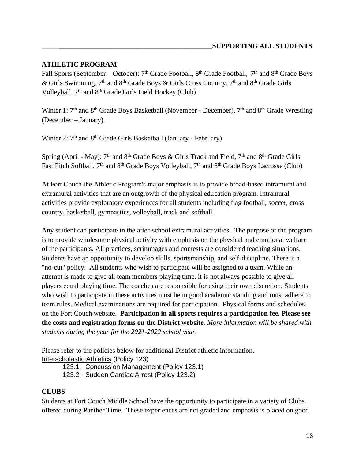### **ATHLETIC PROGRAM**

Fall Sports (September – October): 7<sup>th</sup> Grade Football, 8<sup>th</sup> Grade Football, 7<sup>th</sup> and 8<sup>th</sup> Grade Boys & Girls Swimming, 7<sup>th</sup> and 8<sup>th</sup> Grade Boys & Girls Cross Country, 7<sup>th</sup> and 8<sup>th</sup> Grade Girls Volleyball, 7<sup>th</sup> and 8<sup>th</sup> Grade Girls Field Hockey (Club)

Winter 1:  $7<sup>th</sup>$  and  $8<sup>th</sup>$  Grade Boys Basketball (November - December),  $7<sup>th</sup>$  and  $8<sup>th</sup>$  Grade Wrestling (December – January)

Winter 2: 7<sup>th</sup> and 8<sup>th</sup> Grade Girls Basketball (January - February)

Spring (April - May):  $7<sup>th</sup>$  and  $8<sup>th</sup>$  Grade Boys & Girls Track and Field,  $7<sup>th</sup>$  and  $8<sup>th</sup>$  Grade Girls Fast Pitch Softball, 7<sup>th</sup> and 8<sup>th</sup> Grade Boys Volleyball, 7<sup>th</sup> and 8<sup>th</sup> Grade Boys Lacrosse (Club)

At Fort Couch the Athletic Program's major emphasis is to provide broad-based intramural and extramural activities that are an outgrowth of the physical education program. Intramural activities provide exploratory experiences for all students including flag football, soccer, cross country, basketball, gymnastics, volleyball, track and softball.

Any student can participate in the after-school extramural activities. The purpose of the program is to provide wholesome physical activity with emphasis on the physical and emotional welfare of the participants. All practices, scrimmages and contests are considered teaching situations. Students have an opportunity to develop skills, sportsmanship, and self-discipline. There is a "no-cut" policy. All students who wish to participate will be assigned to a team. While an attempt is made to give all team members playing time, it is not always possible to give all players equal playing time. The coaches are responsible for using their own discretion. Students who wish to participate in these activities must be in good academic standing and must adhere to team rules. Medical examinations are required for participation. Physical forms and schedules on the Fort Couch website. **Participation in all sports requires a participation fee. Please see the costs and registration forms on the District website.** *More information will be shared with students during the year for the 2021-2022 school year.*

Please refer to the policies below for additional District athletic information. [Interscholastic Athletics](https://www.uscsd.k12.pa.us/cms/lib/PA01000033/Centricity/Domain/17/123%20-%20Interscholastic%20Athletics.pdf) (Policy 123)

123.1 - [Concussion Management](https://www.uscsd.k12.pa.us/cms/lib/PA01000033/Centricity/Domain/17/123.1%20-%20Concussion%20Management.pdf) (Policy 123.1) 123.2 - [Sudden Cardiac Arrest](https://www.uscsd.k12.pa.us/cms/lib/PA01000033/Centricity/Domain/17/123.2%20-%20Sudden%20Cardiac%20Arrest.pdf) (Policy 123.2)

#### **CLUBS**

Students at Fort Couch Middle School have the opportunity to participate in a variety of Clubs offered during Panther Time. These experiences are not graded and emphasis is placed on good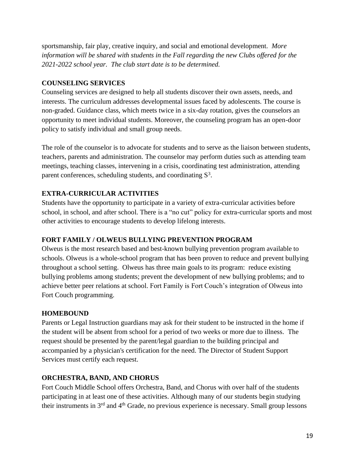sportsmanship, fair play, creative inquiry, and social and emotional development. *More information will be shared with students in the Fall regarding the new Clubs offered for the 2021-2022 school year. The club start date is to be determined.*

# **COUNSELING SERVICES**

Counseling services are designed to help all students discover their own assets, needs, and interests. The curriculum addresses developmental issues faced by adolescents. The course is non-graded. Guidance class, which meets twice in a six-day rotation, gives the counselors an opportunity to meet individual students. Moreover, the counseling program has an open-door policy to satisfy individual and small group needs.

The role of the counselor is to advocate for students and to serve as the liaison between students, teachers, parents and administration. The counselor may perform duties such as attending team meetings, teaching classes, intervening in a crisis, coordinating test administration, attending parent conferences, scheduling students, and coordinating  $S<sup>3</sup>$ .

# **EXTRA-CURRICULAR ACTIVITIES**

Students have the opportunity to participate in a variety of extra-curricular activities before school, in school, and after school. There is a "no cut" policy for extra-curricular sports and most other activities to encourage students to develop lifelong interests.

# **FORT FAMILY / OLWEUS BULLYING PREVENTION PROGRAM**

Olweus is the most research based and best-known bullying prevention program available to schools. Olweus is a whole-school program that has been proven to reduce and prevent bullying throughout a school setting. Olweus has three main goals to its program: reduce existing bullying problems among students; prevent the development of new bullying problems; and to achieve better peer relations at school. Fort Family is Fort Couch's integration of Olweus into Fort Couch programming.

# **HOMEBOUND**

Parents or Legal Instruction guardians may ask for their student to be instructed in the home if the student will be absent from school for a period of two weeks or more due to illness. The request should be presented by the parent/legal guardian to the building principal and accompanied by a physician's certification for the need. The Director of Student Support Services must certify each request.

# **ORCHESTRA, BAND, AND CHORUS**

Fort Couch Middle School offers Orchestra, Band, and Chorus with over half of the students participating in at least one of these activities. Although many of our students begin studying their instruments in 3rd and 4th Grade, no previous experience is necessary. Small group lessons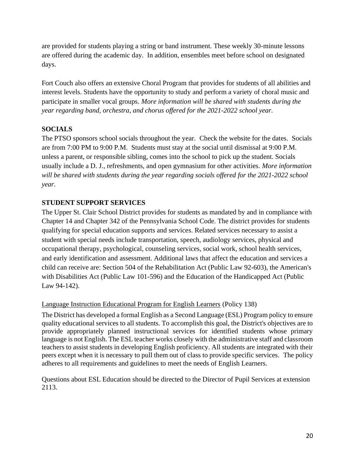are provided for students playing a string or band instrument. These weekly 30-minute lessons are offered during the academic day. In addition, ensembles meet before school on designated days.

Fort Couch also offers an extensive Choral Program that provides for students of all abilities and interest levels. Students have the opportunity to study and perform a variety of choral music and participate in smaller vocal groups. *More information will be shared with students during the year regarding band, orchestra, and chorus offered for the 2021-2022 school year.*

# **SOCIALS**

The PTSO sponsors school socials throughout the year. Check the website for the dates. Socials are from 7:00 PM to 9:00 P.M. Students must stay at the social until dismissal at 9:00 P.M. unless a parent, or responsible sibling, comes into the school to pick up the student. Socials usually include a D. J., refreshments, and open gymnasium for other activities. *More information will be shared with students during the year regarding socials offered for the 2021-2022 school year.*

#### **STUDENT SUPPORT SERVICES**

The Upper St. Clair School District provides for students as mandated by and in compliance with Chapter 14 and Chapter 342 of the Pennsylvania School Code. The district provides for students qualifying for special education supports and services. Related services necessary to assist a student with special needs include transportation, speech, audiology services, physical and occupational therapy, psychological, counseling services, social work, school health services, and early identification and assessment. Additional laws that affect the education and services a child can receive are: Section 504 of the Rehabilitation Act (Public Law 92-603), the American's with Disabilities Act (Public Law 101-596) and the Education of the Handicapped Act (Public Law 94-142).

#### [Language Instruction Educational Program for English Learners](https://www.uscsd.k12.pa.us/cms/lib/PA01000033/Centricity/Domain/17/138%20-%20Language%20Instruction%20Educational%20Program%20for%20English%20Learners.pdf) (Policy 138)

The District has developed a formal English as a Second Language (ESL) Program policy to ensure quality educational services to all students. To accomplish this goal, the District's objectives are to provide appropriately planned instructional services for identified students whose primary language is not English. The ESL teacher works closely with the administrative staff and classroom teachers to assist students in developing English proficiency. All students are integrated with their peers except when it is necessary to pull them out of class to provide specific services. The policy adheres to all requirements and guidelines to meet the needs of English Learners.

Questions about ESL Education should be directed to the Director of Pupil Services at extension 2113.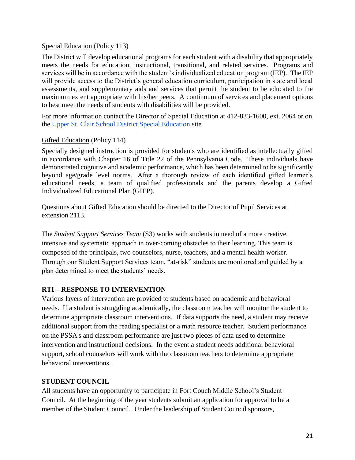#### [Special Education](https://www.uscsd.k12.pa.us/cms/lib/PA01000033/Centricity/Domain/17/113%20-%20Special%20Education.pdf) (Policy 113)

The District will develop educational programs for each student with a disability that appropriately meets the needs for education, instructional, transitional, and related services. Programs and services will be in accordance with the student's individualized education program (IEP). The IEP will provide access to the District's general education curriculum, participation in state and local assessments, and supplementary aids and services that permit the student to be educated to the maximum extent appropriate with his/her peers. A continuum of services and placement options to best meet the needs of students with disabilities will be provided.

For more information contact the Director of Special Education at 412-833-1600, ext. 2064 or on the [Upper St. Clair School District Special Education](https://www.uscsd.k12.pa.us/Domain/9) site

### [Gifted Education](https://www.uscsd.k12.pa.us/cms/lib/PA01000033/Centricity/Domain/17/114%20-%20Gifted%20Education.pdf) (Policy 114)

Specially designed instruction is provided for students who are identified as intellectually gifted in accordance with Chapter 16 of Title 22 of the Pennsylvania Code. These individuals have demonstrated cognitive and academic performance, which has been determined to be significantly beyond age/grade level norms. After a thorough review of each identified gifted learner's educational needs, a team of qualified professionals and the parents develop a Gifted Individualized Educational Plan (GIEP).

Questions about Gifted Education should be directed to the Director of Pupil Services at extension 2113.

The *Student Support Services Team* (S3) works with students in need of a more creative, intensive and systematic approach in over-coming obstacles to their learning. This team is composed of the principals, two counselors, nurse, teachers, and a mental health worker. Through our Student Support Services team, "at-risk" students are monitored and guided by a plan determined to meet the students' needs.

# **RTI – RESPONSE TO INTERVENTION**

Various layers of intervention are provided to students based on academic and behavioral needs. If a student is struggling academically, the classroom teacher will monitor the student to determine appropriate classroom interventions. If data supports the need, a student may receive additional support from the reading specialist or a math resource teacher. Student performance on the PSSA's and classroom performance are just two pieces of data used to determine intervention and instructional decisions. In the event a student needs additional behavioral support, school counselors will work with the classroom teachers to determine appropriate behavioral interventions.

# **STUDENT COUNCIL**

All students have an opportunity to participate in Fort Couch Middle School's Student Council. At the beginning of the year students submit an application for approval to be a member of the Student Council. Under the leadership of Student Council sponsors,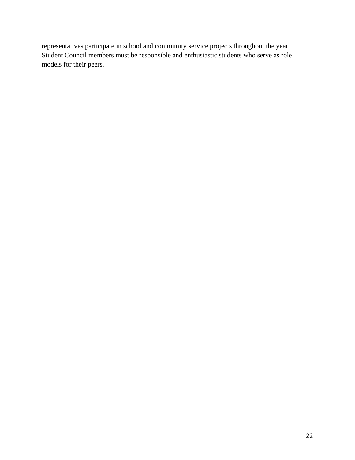representatives participate in school and community service projects throughout the year. Student Council members must be responsible and enthusiastic students who serve as role models for their peers.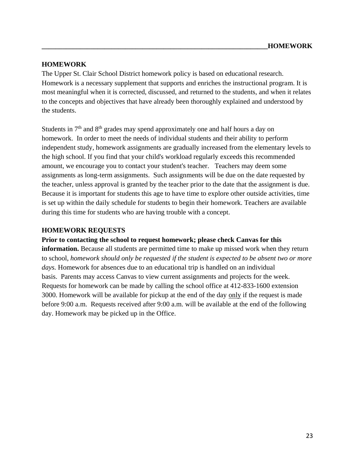#### **HOMEWORK**

The Upper St. Clair School District homework policy is based on educational research. Homework is a necessary supplement that supports and enriches the instructional program. It is most meaningful when it is corrected, discussed, and returned to the students, and when it relates to the concepts and objectives that have already been thoroughly explained and understood by the students.

Students in  $7<sup>th</sup>$  and  $8<sup>th</sup>$  grades may spend approximately one and half hours a day on homework. In order to meet the needs of individual students and their ability to perform independent study, homework assignments are gradually increased from the elementary levels to the high school. If you find that your child's workload regularly exceeds this recommended amount, we encourage you to contact your student's teacher. Teachers may deem some assignments as long-term assignments. Such assignments will be due on the date requested by the teacher, unless approval is granted by the teacher prior to the date that the assignment is due. Because it is important for students this age to have time to explore other outside activities, time is set up within the daily schedule for students to begin their homework. Teachers are available during this time for students who are having trouble with a concept.

#### **HOMEWORK REQUESTS**

#### **Prior to contacting the school to request homework; please check Canvas for this**

**information.** Because all students are permitted time to make up missed work when they return to school, *homework should only be requested if the student is expected to be absent two or more days.* Homework for absences due to an educational trip is handled on an individual basis. Parents may access Canvas to view current assignments and projects for the week. Requests for homework can be made by calling the school office at 412-833-1600 extension 3000. Homework will be available for pickup at the end of the day only if the request is made before 9:00 a.m. Requests received after 9:00 a.m. will be available at the end of the following day. Homework may be picked up in the Office.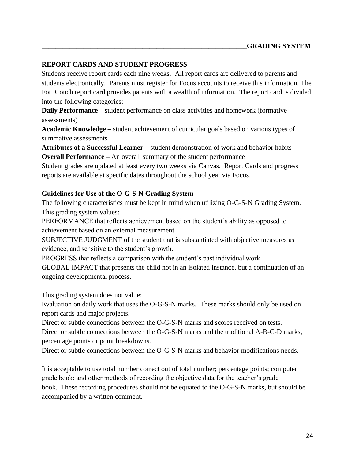#### **REPORT CARDS AND STUDENT PROGRESS**

Students receive report cards each nine weeks. All report cards are delivered to parents and students electronically. Parents must register for Focus accounts to receive this information. The Fort Couch report card provides parents with a wealth of information. The report card is divided into the following categories:

**Daily Performance –** student performance on class activities and homework (formative assessments)

**Academic Knowledge –** student achievement of curricular goals based on various types of summative assessments

**Attributes of a Successful Learner –** student demonstration of work and behavior habits **Overall Performance –** An overall summary of the student performance

Student grades are updated at least every two weeks via Canvas. Report Cards and progress reports are available at specific dates throughout the school year via Focus.

#### **Guidelines for Use of the O-G-S-N Grading System**

The following characteristics must be kept in mind when utilizing O-G-S-N Grading System. This grading system values:

PERFORMANCE that reflects achievement based on the student's ability as opposed to achievement based on an external measurement.

SUBJECTIVE JUDGMENT of the student that is substantiated with objective measures as evidence, and sensitive to the student's growth.

PROGRESS that reflects a comparison with the student's past individual work.

GLOBAL IMPACT that presents the child not in an isolated instance, but a continuation of an ongoing developmental process.

This grading system does not value:

Evaluation on daily work that uses the O-G-S-N marks. These marks should only be used on report cards and major projects.

Direct or subtle connections between the O-G-S-N marks and scores received on tests. Direct or subtle connections between the O-G-S-N marks and the traditional A-B-C-D marks, percentage points or point breakdowns.

Direct or subtle connections between the O-G-S-N marks and behavior modifications needs.

It is acceptable to use total number correct out of total number; percentage points; computer grade book; and other methods of recording the objective data for the teacher's grade book. These recording procedures should not be equated to the O-G-S-N marks, but should be accompanied by a written comment.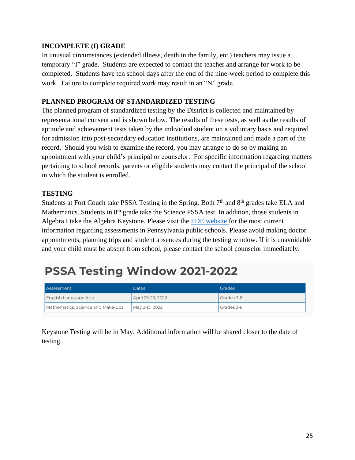#### **INCOMPLETE (I) GRADE**

In unusual circumstances (extended illness, death in the family, etc.) teachers may issue a temporary "I" grade. Students are expected to contact the teacher and arrange for work to be completed. Students have ten school days after the end of the nine-week period to complete this work. Failure to complete required work may result in an "N" grade.

#### **PLANNED PROGRAM OF STANDARDIZED TESTING**

The planned program of standardized testing by the District is collected and maintained by representational consent and is shown below. The results of these tests, as well as the results of aptitude and achievement tests taken by the individual student on a voluntary basis and required for admission into post-secondary education institutions, are maintained and made a part of the record. Should you wish to examine the record, you may arrange to do so by making an appointment with your child's principal or counselor. For specific information regarding matters pertaining to school records, parents or eligible students may contact the principal of the school in which the student is enrolled.

### **TESTING**

Students at Fort Couch take PSSA Testing in the Spring. Both  $7<sup>th</sup>$  and  $8<sup>th</sup>$  grades take ELA and Mathematics. Students in 8<sup>th</sup> grade take the Science PSSA test. In addition, those students in Algebra I take the Algebra Keystone. Please visit the [PDE website f](https://www.education.pa.gov/K-12/Assessment%20and%20Accountability/PSSA/Pages/default.aspx)or the most current information regarding assessments in Pennsylvania public schools. Please avoid making doctor appointments, planning trips and student absences during the testing window. If it is unavoidable and your child must be absent from school, please contact the school counselor immediately.

# PSSA Testing Window 2021-2022

| Assessment                        | <b>Dates</b>      | <b>Grades</b> |
|-----------------------------------|-------------------|---------------|
| English Language Arts             | April 25-29, 2022 | Grades 3-8    |
| Mathematics, Science and Make-ups | May 2-13, 2022    | Grades 3-8    |

Keystone Testing will be in May. Additional information will be shared closer to the date of testing.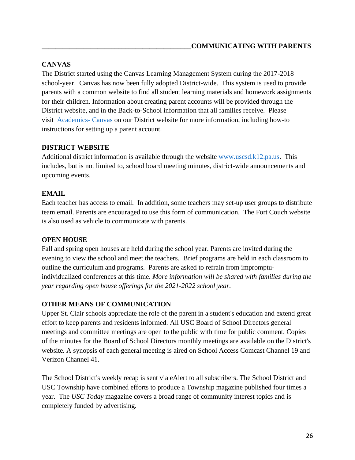# **CANVAS**

The District started using the Canvas Learning Management System during the 2017-2018 school-year. Canvas has now been fully adopted District-wide. This system is used to provide parents with a common website to find all student learning materials and homework assignments for their children. Information about creating parent accounts will be provided through the District website, and in the Back-to-School information that all families receive. Please visit [Academics-](https://www.uscsd.k12.pa.us/domain/891) Canvas on our District website for more information, including how-to instructions for setting up a parent account.

# **DISTRICT WEBSITE**

Additional district information is available through the website [www.uscsd.k12.pa.us.](http://www.uscsd.k12.pa.us/) This includes, but is not limited to, school board meeting minutes, district-wide announcements and upcoming events.

# **EMAIL**

Each teacher has access to email. In addition, some teachers may set-up user groups to distribute team email. Parents are encouraged to use this form of communication. The Fort Couch website is also used as vehicle to communicate with parents.

# **OPEN HOUSE**

Fall and spring open houses are held during the school year. Parents are invited during the evening to view the school and meet the teachers. Brief programs are held in each classroom to outline the curriculum and programs. Parents are asked to refrain from impromptuindividualized conferences at this time. *More information will be shared with families during the year regarding open house offerings for the 2021-2022 school year.*

# **OTHER MEANS OF COMMUNICATION**

Upper St. Clair schools appreciate the role of the parent in a student's education and extend great effort to keep parents and residents informed. All USC Board of School Directors general meetings and committee meetings are open to the public with time for public comment. Copies of the minutes for the Board of School Directors monthly meetings are available on the District's website. A synopsis of each general meeting is aired on School Access Comcast Channel 19 and Verizon Channel 41.

The School District's weekly recap is sent via eAlert to all subscribers. The School District and USC Township have combined efforts to produce a Township magazine published four times a year. The *USC Today* magazine covers a broad range of community interest topics and is completely funded by advertising.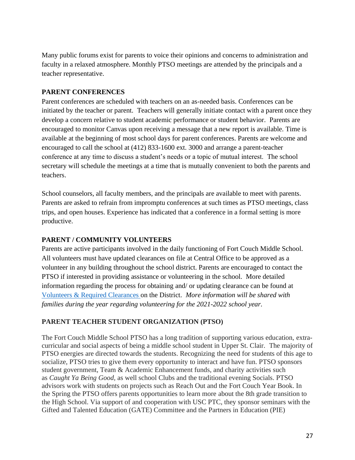Many public forums exist for parents to voice their opinions and concerns to administration and faculty in a relaxed atmosphere. Monthly PTSO meetings are attended by the principals and a teacher representative.

#### **PARENT CONFERENCES**

Parent conferences are scheduled with teachers on an as-needed basis. Conferences can be initiated by the teacher or parent. Teachers will generally initiate contact with a parent once they develop a concern relative to student academic performance or student behavior. Parents are encouraged to monitor Canvas upon receiving a message that a new report is available. Time is available at the beginning of most school days for parent conferences. Parents are welcome and encouraged to call the school at (412) 833-1600 ext. 3000 and arrange a parent-teacher conference at any time to discuss a student's needs or a topic of mutual interest. The school secretary will schedule the meetings at a time that is mutually convenient to both the parents and teachers.

School counselors, all faculty members, and the principals are available to meet with parents. Parents are asked to refrain from impromptu conferences at such times as PTSO meetings, class trips, and open houses. Experience has indicated that a conference in a formal setting is more productive.

#### **PARENT / COMMUNITY VOLUNTEERS**

Parents are active participants involved in the daily functioning of Fort Couch Middle School. All volunteers must have updated clearances on file at Central Office to be approved as a volunteer in any building throughout the school district. Parents are encouraged to contact the PTSO if interested in providing assistance or volunteering in the school. More detailed information regarding the process for obtaining and/ or updating clearance can be found at [Volunteers & Required Clearances o](https://www.uscsd.k12.pa.us/site/default.aspx?PageType=3&DomainID=1&ModuleInstanceID=1323&ViewID=6446EE88-D30C-497E-9316-3F8874B3E108&RenderLoc=0&FlexDataID=13126&PageID=1)n the District. *More information will be shared with families during the year regarding volunteering for the 2021-2022 school year.*

# **PARENT TEACHER STUDENT ORGANIZATION (PTSO)**

The Fort Couch Middle School PTSO has a long tradition of supporting various education, extracurricular and social aspects of being a middle school student in Upper St. Clair. The majority of PTSO energies are directed towards the students. Recognizing the need for students of this age to socialize, PTSO tries to give them every opportunity to interact and have fun. PTSO sponsors student government, Team & Academic Enhancement funds, and charity activities such as *Caught Ya Being Good,* as well school Clubs and the traditional evening Socials. PTSO advisors work with students on projects such as Reach Out and the Fort Couch Year Book. In the Spring the PTSO offers parents opportunities to learn more about the 8th grade transition to the High School. Via support of and cooperation with USC PTC, they sponsor seminars with the Gifted and Talented Education (GATE) Committee and the Partners in Education (PIE)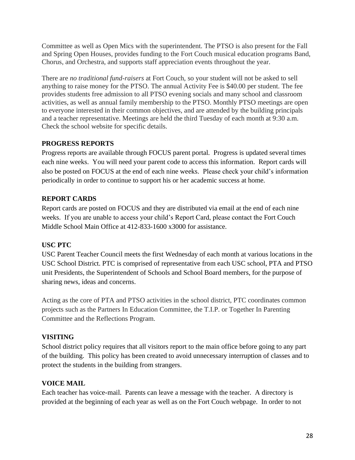Committee as well as Open Mics with the superintendent. The PTSO is also present for the Fall and Spring Open Houses, provides funding to the Fort Couch musical education programs Band, Chorus, and Orchestra, and supports staff appreciation events throughout the year.

There are *no traditional fund-raisers* at Fort Couch, so your student will not be asked to sell anything to raise money for the PTSO. The annual Activity Fee is \$40.00 per student. The fee provides students free admission to all PTSO evening socials and many school and classroom activities, as well as annual family membership to the PTSO. Monthly PTSO meetings are open to everyone interested in their common objectives, and are attended by the building principals and a teacher representative. Meetings are held the third Tuesday of each month at 9:30 a.m. Check the school website for specific details.

# **PROGRESS REPORTS**

Progress reports are available through FOCUS parent portal. Progress is updated several times each nine weeks. You will need your parent code to access this information. Report cards will also be posted on FOCUS at the end of each nine weeks. Please check your child's information periodically in order to continue to support his or her academic success at home.

# **REPORT CARDS**

Report cards are posted on FOCUS and they are distributed via email at the end of each nine weeks. If you are unable to access your child's Report Card, please contact the Fort Couch Middle School Main Office at 412-833-1600 x3000 for assistance.

# **USC PTC**

USC Parent Teacher Council meets the first Wednesday of each month at various locations in the USC School District. PTC is comprised of representative from each USC school, PTA and PTSO unit Presidents, the Superintendent of Schools and School Board members, for the purpose of sharing news, ideas and concerns.

Acting as the core of PTA and PTSO activities in the school district, PTC coordinates common projects such as the Partners In Education Committee, the T.I.P. or Together In Parenting Committee and the Reflections Program.

# **VISITING**

School district policy requires that all visitors report to the main office before going to any part of the building. This policy has been created to avoid unnecessary interruption of classes and to protect the students in the building from strangers.

# **VOICE MAIL**

Each teacher has voice-mail. Parents can leave a message with the teacher. A directory is provided at the beginning of each year as well as on the Fort Couch webpage. In order to not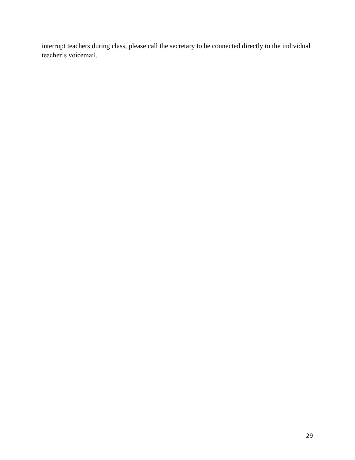interrupt teachers during class, please call the secretary to be connected directly to the individual teacher's voicemail.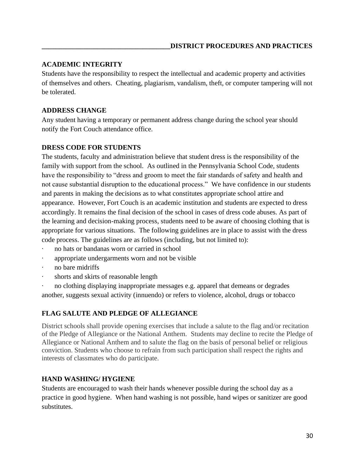#### **ACADEMIC INTEGRITY**

Students have the responsibility to respect the intellectual and academic property and activities of themselves and others. Cheating, plagiarism, vandalism, theft, or computer tampering will not be tolerated.

# **ADDRESS CHANGE**

Any student having a temporary or permanent address change during the school year should notify the Fort Couch attendance office.

#### **DRESS CODE FOR STUDENTS**

The students, faculty and administration believe that student dress is the responsibility of the family with support from the school. As outlined in the Pennsylvania School Code, students have the responsibility to "dress and groom to meet the fair standards of safety and health and not cause substantial disruption to the educational process." We have confidence in our students and parents in making the decisions as to what constitutes appropriate school attire and appearance. However, Fort Couch is an academic institution and students are expected to dress accordingly. It remains the final decision of the school in cases of dress code abuses. As part of the learning and decision-making process, students need to be aware of choosing clothing that is appropriate for various situations. The following guidelines are in place to assist with the dress code process. The guidelines are as follows (including, but not limited to):

- no hats or bandanas worn or carried in school
- appropriate undergarments worn and not be visible
- no bare midriffs
- shorts and skirts of reasonable length

no clothing displaying inappropriate messages e.g. apparel that demeans or degrades another, suggests sexual activity (innuendo) or refers to violence, alcohol, drugs or tobacco

# **FLAG SALUTE AND PLEDGE OF ALLEGIANCE**

District schools shall provide opening exercises that include a salute to the flag and/or recitation of the Pledge of Allegiance or the National Anthem. Students may decline to recite the Pledge of Allegiance or National Anthem and to salute the flag on the basis of personal belief or religious conviction. Students who choose to refrain from such participation shall respect the rights and interests of classmates who do participate.

# **HAND WASHING/ HYGIENE**

Students are encouraged to wash their hands whenever possible during the school day as a practice in good hygiene. When hand washing is not possible, hand wipes or sanitizer are good substitutes.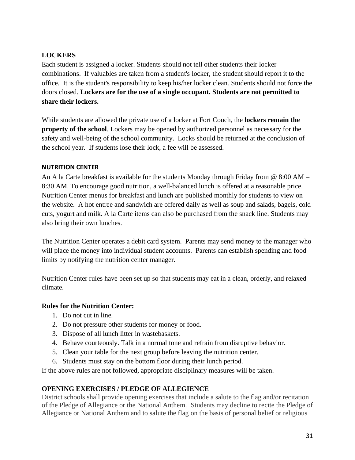# **LOCKERS**

Each student is assigned a locker. Students should not tell other students their locker combinations. If valuables are taken from a student's locker, the student should report it to the office. It is the student's responsibility to keep his/her locker clean. Students should not force the doors closed. **Lockers are for the use of a single occupant. Students are not permitted to share their lockers.** 

While students are allowed the private use of a locker at Fort Couch, the **lockers remain the property of the school.** Lockers may be opened by authorized personnel as necessary for the safety and well-being of the school community. Locks should be returned at the conclusion of the school year. If students lose their lock, a fee will be assessed.

#### **NUTRITION CENTER**

An A la Carte breakfast is available for the students Monday through Friday from @ 8:00 AM – 8:30 AM. To encourage good nutrition, a well-balanced lunch is offered at a reasonable price. Nutrition Center menus for breakfast and lunch are published monthly for students to view on the website. A hot entree and sandwich are offered daily as well as soup and salads, bagels, cold cuts, yogurt and milk. A la Carte items can also be purchased from the snack line. Students may also bring their own lunches.

The Nutrition Center operates a debit card system. Parents may send money to the manager who will place the money into individual student accounts. Parents can establish spending and food limits by notifying the nutrition center manager.

Nutrition Center rules have been set up so that students may eat in a clean, orderly, and relaxed climate.

#### **Rules for the Nutrition Center:**

- 1. Do not cut in line.
- 2. Do not pressure other students for money or food.
- 3. Dispose of all lunch litter in wastebaskets.
- 4. Behave courteously. Talk in a normal tone and refrain from disruptive behavior.
- 5. Clean your table for the next group before leaving the nutrition center.
- 6. Students must stay on the bottom floor during their lunch period.

If the above rules are not followed, appropriate disciplinary measures will be taken.

#### **OPENING EXERCISES / PLEDGE OF ALLEGIENCE**

District schools shall provide opening exercises that include a salute to the flag and/or recitation of the Pledge of Allegiance or the National Anthem. Students may decline to recite the Pledge of Allegiance or National Anthem and to salute the flag on the basis of personal belief or religious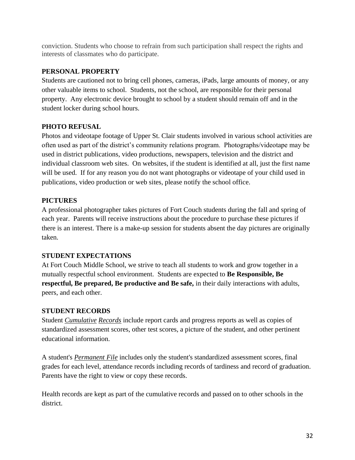conviction. Students who choose to refrain from such participation shall respect the rights and interests of classmates who do participate.

# **PERSONAL PROPERTY**

Students are cautioned not to bring cell phones, cameras, iPads, large amounts of money, or any other valuable items to school. Students, not the school, are responsible for their personal property. Any electronic device brought to school by a student should remain off and in the student locker during school hours.

### **PHOTO REFUSAL**

Photos and videotape footage of Upper St. Clair students involved in various school activities are often used as part of the district's community relations program. Photographs/videotape may be used in district publications, video productions, newspapers, television and the district and individual classroom web sites. On websites, if the student is identified at all, just the first name will be used. If for any reason you do not want photographs or videotape of your child used in publications, video production or web sites, please notify the school office.

### **PICTURES**

A professional photographer takes pictures of Fort Couch students during the fall and spring of each year. Parents will receive instructions about the procedure to purchase these pictures if there is an interest. There is a make-up session for students absent the day pictures are originally taken.

#### **STUDENT EXPECTATIONS**

At Fort Couch Middle School, we strive to teach all students to work and grow together in a mutually respectful school environment. Students are expected to **Be Responsible, Be respectful, Be prepared, Be productive and Be safe,** in their daily interactions with adults, peers, and each other.

#### **STUDENT RECORDS**

Student *Cumulative Records* include report cards and progress reports as well as copies of standardized assessment scores, other test scores, a picture of the student, and other pertinent educational information.

A student's *Permanent File* includes only the student's standardized assessment scores, final grades for each level, attendance records including records of tardiness and record of graduation. Parents have the right to view or copy these records.

Health records are kept as part of the cumulative records and passed on to other schools in the district.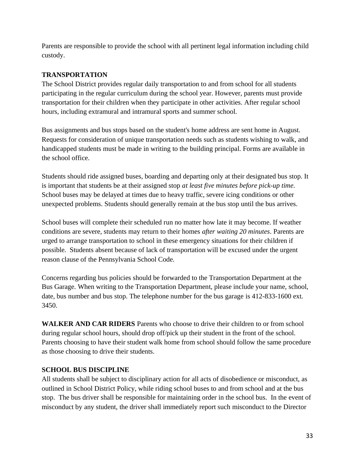Parents are responsible to provide the school with all pertinent legal information including child custody.

# **TRANSPORTATION**

The School District provides regular daily transportation to and from school for all students participating in the regular curriculum during the school year. However, parents must provide transportation for their children when they participate in other activities. After regular school hours, including extramural and intramural sports and summer school.

Bus assignments and bus stops based on the student's home address are sent home in August. Requests for consideration of unique transportation needs such as students wishing to walk, and handicapped students must be made in writing to the building principal. Forms are available in the school office.

Students should ride assigned buses, boarding and departing only at their designated bus stop. It is important that students be at their assigned stop *at least five minutes before pick-up time*. School buses may be delayed at times due to heavy traffic, severe icing conditions or other unexpected problems. Students should generally remain at the bus stop until the bus arrives.

School buses will complete their scheduled run no matter how late it may become. If weather conditions are severe, students may return to their homes *after waiting 20 minutes*. Parents are urged to arrange transportation to school in these emergency situations for their children if possible. Students absent because of lack of transportation will be excused under the urgent reason clause of the Pennsylvania School Code.

Concerns regarding bus policies should be forwarded to the Transportation Department at the Bus Garage. When writing to the Transportation Department, please include your name, school, date, bus number and bus stop. The telephone number for the bus garage is 412-833-1600 ext. 3450.

**WALKER AND CAR RIDERS** Parents who choose to drive their children to or from school during regular school hours, should drop off/pick up their student in the front of the school. Parents choosing to have their student walk home from school should follow the same procedure as those choosing to drive their students.

#### **SCHOOL BUS DISCIPLINE**

All students shall be subject to disciplinary action for all acts of disobedience or misconduct, as outlined in School District Policy, while riding school buses to and from school and at the bus stop. The bus driver shall be responsible for maintaining order in the school bus. In the event of misconduct by any student, the driver shall immediately report such misconduct to the Director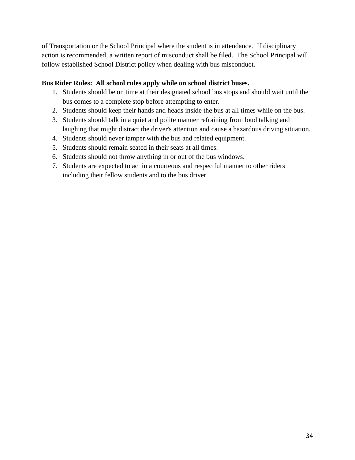of Transportation or the School Principal where the student is in attendance. If disciplinary action is recommended, a written report of misconduct shall be filed. The School Principal will follow established School District policy when dealing with bus misconduct.

#### **Bus Rider Rules: All school rules apply while on school district buses.**

- 1. Students should be on time at their designated school bus stops and should wait until the bus comes to a complete stop before attempting to enter.
- 2. Students should keep their hands and heads inside the bus at all times while on the bus.
- 3. Students should talk in a quiet and polite manner refraining from loud talking and laughing that might distract the driver's attention and cause a hazardous driving situation.
- 4. Students should never tamper with the bus and related equipment.
- 5. Students should remain seated in their seats at all times.
- 6. Students should not throw anything in or out of the bus windows.
- 7. Students are expected to act in a courteous and respectful manner to other riders including their fellow students and to the bus driver.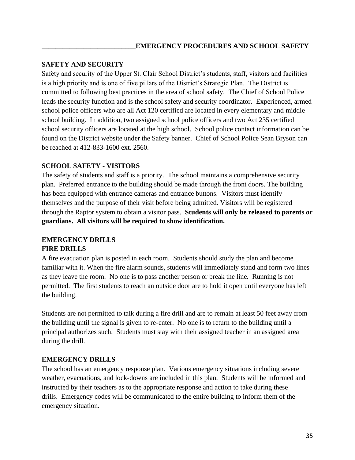### **SAFETY AND SECURITY**

Safety and security of the Upper St. Clair School District's students, staff, visitors and facilities is a high priority and is one of five pillars of the District's Strategic Plan. The District is committed to following best practices in the area of school safety. The Chief of School Police leads the security function and is the school safety and security coordinator. Experienced, armed school police officers who are all Act 120 certified are located in every elementary and middle school building. In addition, two assigned school police officers and two Act 235 certified school security officers are located at the high school. School police contact information can be found on the District website under the Safety banner. Chief of School Police Sean Bryson can be reached at 412-833-1600 ext. 2560.

### **SCHOOL SAFETY - VISITORS**

The safety of students and staff is a priority. The school maintains a comprehensive security plan. Preferred entrance to the building should be made through the front doors. The building has been equipped with entrance cameras and entrance buttons. Visitors must identify themselves and the purpose of their visit before being admitted. Visitors will be registered through the Raptor system to obtain a visitor pass. **Students will only be released to parents or guardians. All visitors will be required to show identification.**

# **EMERGENCY DRILLS**

#### **FIRE DRILLS**

A fire evacuation plan is posted in each room. Students should study the plan and become familiar with it. When the fire alarm sounds, students will immediately stand and form two lines as they leave the room. No one is to pass another person or break the line. Running is not permitted. The first students to reach an outside door are to hold it open until everyone has left the building.

Students are not permitted to talk during a fire drill and are to remain at least 50 feet away from the building until the signal is given to re-enter. No one is to return to the building until a principal authorizes such. Students must stay with their assigned teacher in an assigned area during the drill.

# **EMERGENCY DRILLS**

The school has an emergency response plan. Various emergency situations including severe weather, evacuations, and lock-downs are included in this plan. Students will be informed and instructed by their teachers as to the appropriate response and action to take during these drills. Emergency codes will be communicated to the entire building to inform them of the emergency situation.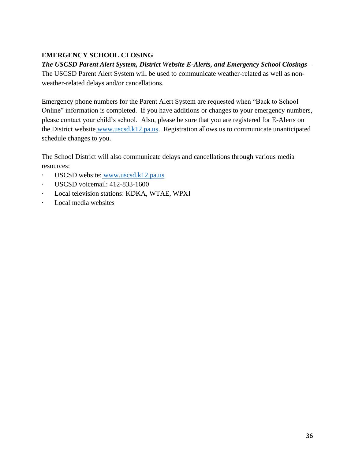# **EMERGENCY SCHOOL CLOSING**

# *The USCSD Parent Alert System, District Website E-Alerts, and Emergency School Closings* –

The USCSD Parent Alert System will be used to communicate weather-related as well as nonweather-related delays and/or cancellations.

Emergency phone numbers for the Parent Alert System are requested when "Back to School Online" information is completed. If you have additions or changes to your emergency numbers, please contact your child's school. Also, please be sure that you are registered for E-Alerts on the District website [www.uscsd.k12.pa.us.](http://www.uscsd.k12.pa.us/) Registration allows us to communicate unanticipated schedule changes to you.

The School District will also communicate delays and cancellations through various media resources:

- · USCSD website: [www.uscsd.k12.pa.us](http://www.uscsd.k12.pa.us/)
- · USCSD voicemail: 412-833-1600
- · Local television stations: KDKA, WTAE, WPXI
- Local media websites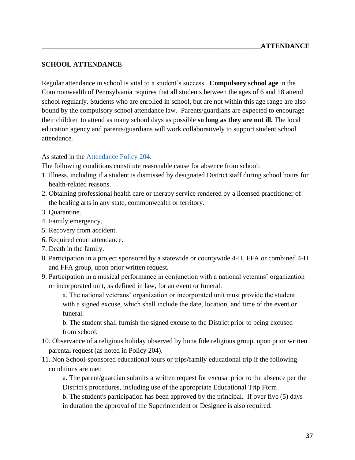#### **SCHOOL ATTENDANCE**

Regular attendance in school is vital to a student's success. **Compulsory school age** in the Commonwealth of Pennsylvania requires that all students between the ages of 6 and 18 attend school regularly. Students who are enrolled in school, but are not within this age range are also bound by the compulsory school attendance law. Parents/guardians are expected to encourage their children to attend as many school days as possible **so long as they are not ill.** The local education agency and parents/guardians will work collaboratively to support student school attendance.

#### As stated in the [Attendance Policy 204:](https://www.uscsd.k12.pa.us/Page/134)

The following conditions constitute reasonable cause for absence from school:

- 1. Illness, including if a student is dismissed by designated District staff during school hours for health-related reasons.
- 2. Obtaining professional health care or therapy service rendered by a licensed practitioner of the healing arts in any state, commonwealth or territory.
- 3. Quarantine.
- 4. Family emergency.
- 5. Recovery from accident.
- 6. Required court attendance.
- 7. Death in the family.
- 8. Participation in a project sponsored by a statewide or countywide 4-H, FFA or combined 4-H and FFA group, upon prior written request**.**
- 9. Participation in a musical performance in conjunction with a national veterans' organization or incorporated unit, as defined in law, for an event or funeral.

a. The national veterans' organization or incorporated unit must provide the student with a signed excuse, which shall include the date, location, and time of the event or funeral.

b. The student shall furnish the signed excuse to the District prior to being excused from school.

- 10. Observance of a religious holiday observed by bona fide religious group, upon prior written parental request (as noted in Policy 204).
- 11. Non School-sponsored educational tours or trips**/**family educational trip if the following conditions are met:

a. The parent/guardian submits a written request for excusal prior to the absence per the District's procedures, including use of the appropriate Educational Trip Form

b. The student's participation has been approved by the principal. If over five (5) days in duration the approval of the Superintendent or Designee is also required.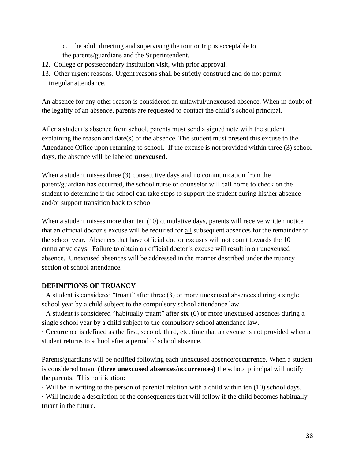- c. The adult directing and supervising the tour or trip is acceptable to
- the parents/guardians and the Superintendent.
- 12. College or postsecondary institution visit, with prior approval.
- 13. Other urgent reasons. Urgent reasons shall be strictly construed and do not permit irregular attendance.

An absence for any other reason is considered an unlawful/unexcused absence. When in doubt of the legality of an absence, parents are requested to contact the child's school principal.

After a student's absence from school, parents must send a signed note with the student explaining the reason and date(s) of the absence. The student must present this excuse to the Attendance Office upon returning to school. If the excuse is not provided within three (3) school days, the absence will be labeled **unexcused.** 

When a student misses three (3) consecutive days and no communication from the parent/guardian has occurred, the school nurse or counselor will call home to check on the student to determine if the school can take steps to support the student during his/her absence and/or support transition back to school

When a student misses more than ten (10) cumulative days, parents will receive written notice that an official doctor's excuse will be required for all subsequent absences for the remainder of the school year. Absences that have official doctor excuses will not count towards the 10 cumulative days. Failure to obtain an official doctor's excuse will result in an unexcused absence. Unexcused absences will be addressed in the manner described under the truancy section of school attendance.

# **DEFINITIONS OF TRUANCY**

 $\cdot$  A student is considered "truant" after three (3) or more unexcused absences during a single school year by a child subject to the compulsory school attendance law.

· A student is considered "habitually truant" after six (6) or more unexcused absences during a single school year by a child subject to the compulsory school attendance law.

· Occurrence is defined as the first, second, third, etc. time that an excuse is not provided when a student returns to school after a period of school absence.

Parents/guardians will be notified following each unexcused absence/occurrence. When a student is considered truant (**three unexcused absences/occurrences)** the school principal will notify the parents. This notification:

· Will be in writing to the person of parental relation with a child within ten (10) school days.

· Will include a description of the consequences that will follow if the child becomes habitually truant in the future.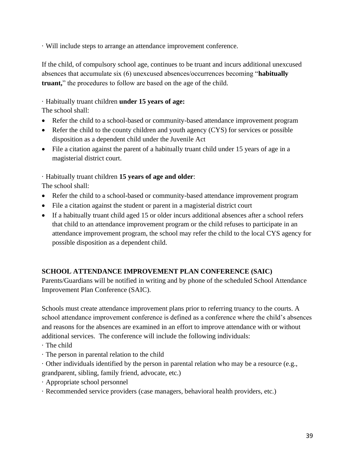· Will include steps to arrange an attendance improvement conference.

If the child, of compulsory school age, continues to be truant and incurs additional unexcused absences that accumulate six (6) unexcused absences/occurrences becoming "**habitually truant,**" the procedures to follow are based on the age of the child.

# · Habitually truant children **under 15 years of age:**

The school shall:

- Refer the child to a school-based or community-based attendance improvement program
- Refer the child to the county children and youth agency (CYS) for services or possible disposition as a dependent child under the Juvenile Act
- File a citation against the parent of a habitually truant child under 15 years of age in a magisterial district court.

# · Habitually truant children **15 years of age and older**:

The school shall:

- Refer the child to a school-based or community-based attendance improvement program
- File a citation against the student or parent in a magisterial district court
- If a habitually truant child aged 15 or older incurs additional absences after a school refers that child to an attendance improvement program or the child refuses to participate in an attendance improvement program, the school may refer the child to the local CYS agency for possible disposition as a dependent child.

# **SCHOOL ATTENDANCE IMPROVEMENT PLAN CONFERENCE (SAIC)**

Parents/Guardians will be notified in writing and by phone of the scheduled School Attendance Improvement Plan Conference (SAIC).

Schools must create attendance improvement plans prior to referring truancy to the courts. A school attendance improvement conference is defined as a conference where the child's absences and reasons for the absences are examined in an effort to improve attendance with or without additional services. The conference will include the following individuals:

- · The child
- · The person in parental relation to the child
- · Other individuals identified by the person in parental relation who may be a resource (e.g., grandparent, sibling, family friend, advocate, etc.)
- · Appropriate school personnel
- · Recommended service providers (case managers, behavioral health providers, etc.)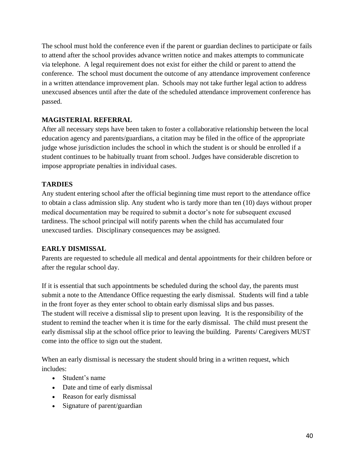The school must hold the conference even if the parent or guardian declines to participate or fails to attend after the school provides advance written notice and makes attempts to communicate via telephone. A legal requirement does not exist for either the child or parent to attend the conference. The school must document the outcome of any attendance improvement conference in a written attendance improvement plan. Schools may not take further legal action to address unexcused absences until after the date of the scheduled attendance improvement conference has passed.

### **MAGISTERIAL REFERRAL**

After all necessary steps have been taken to foster a collaborative relationship between the local education agency and parents/guardians, a citation may be filed in the office of the appropriate judge whose jurisdiction includes the school in which the student is or should be enrolled if a student continues to be habitually truant from school. Judges have considerable discretion to impose appropriate penalties in individual cases.

### **TARDIES**

Any student entering school after the official beginning time must report to the attendance office to obtain a class admission slip. Any student who is tardy more than ten (10) days without proper medical documentation may be required to submit a doctor's note for subsequent excused tardiness. The school principal will notify parents when the child has accumulated four unexcused tardies. Disciplinary consequences may be assigned.

#### **EARLY DISMISSAL**

Parents are requested to schedule all medical and dental appointments for their children before or after the regular school day.

If it is essential that such appointments be scheduled during the school day, the parents must submit a note to the Attendance Office requesting the early dismissal. Students will find a table in the front foyer as they enter school to obtain early dismissal slips and bus passes. The student will receive a dismissal slip to present upon leaving. It is the responsibility of the student to remind the teacher when it is time for the early dismissal. The child must present the early dismissal slip at the school office prior to leaving the building. Parents/ Caregivers MUST come into the office to sign out the student.

When an early dismissal is necessary the student should bring in a written request, which includes:

- Student's name
- Date and time of early dismissal
- Reason for early dismissal
- Signature of parent/guardian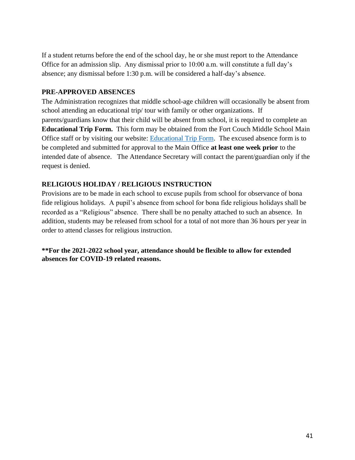If a student returns before the end of the school day, he or she must report to the Attendance Office for an admission slip. Any dismissal prior to 10:00 a.m. will constitute a full day's absence; any dismissal before 1:30 p.m. will be considered a half-day's absence.

#### **PRE-APPROVED ABSENCES**

The Administration recognizes that middle school-age children will occasionally be absent from school attending an educational trip/ tour with family or other organizations. If parents/guardians know that their child will be absent from school, it is required to complete an **Educational Trip Form.** This form may be obtained from the Fort Couch Middle School Main Office staff or by visiting our website: [Educational Trip Form.](https://www.uscsd.k12.pa.us/Domain/327) The excused absence form is to be completed and submitted for approval to the Main Office **at least one week prior** to the intended date of absence. The Attendance Secretary will contact the parent/guardian only if the request is denied.

#### **RELIGIOUS HOLIDAY / RELIGIOUS INSTRUCTION**

Provisions are to be made in each school to excuse pupils from school for observance of bona fide religious holidays. A pupil's absence from school for bona fide religious holidays shall be recorded as a "Religious" absence. There shall be no penalty attached to such an absence. In addition, students may be released from school for a total of not more than 36 hours per year in order to attend classes for religious instruction.

**\*\*For the 2021-2022 school year, attendance should be flexible to allow for extended absences for COVID-19 related reasons.**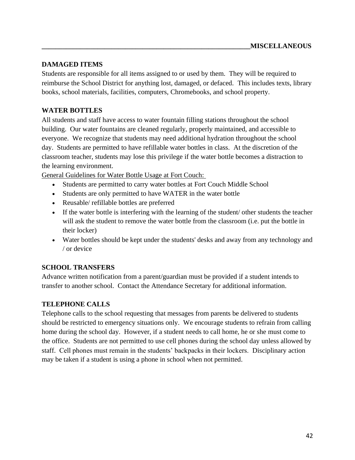### **DAMAGED ITEMS**

Students are responsible for all items assigned to or used by them. They will be required to reimburse the School District for anything lost, damaged, or defaced. This includes texts, library books, school materials, facilities, computers, Chromebooks, and school property.

# **WATER BOTTLES**

All students and staff have access to water fountain filling stations throughout the school building. Our water fountains are cleaned regularly, properly maintained, and accessible to everyone. We recognize that students may need additional hydration throughout the school day. Students are permitted to have refillable water bottles in class. At the discretion of the classroom teacher, students may lose this privilege if the water bottle becomes a distraction to the learning environment.

General Guidelines for Water Bottle Usage at Fort Couch:

- Students are permitted to carry water bottles at Fort Couch Middle School
- Students are only permitted to have WATER in the water bottle
- Reusable/ refillable bottles are preferred
- If the water bottle is interfering with the learning of the student/ other students the teacher will ask the student to remove the water bottle from the classroom (i.e. put the bottle in their locker)
- Water bottles should be kept under the students' desks and away from any technology and / or device

# **SCHOOL TRANSFERS**

Advance written notification from a parent/guardian must be provided if a student intends to transfer to another school. Contact the Attendance Secretary for additional information.

#### **TELEPHONE CALLS**

Telephone calls to the school requesting that messages from parents be delivered to students should be restricted to emergency situations only. We encourage students to refrain from calling home during the school day. However, if a student needs to call home, he or she must come to the office. Students are not permitted to use cell phones during the school day unless allowed by staff. Cell phones must remain in the students' backpacks in their lockers. Disciplinary action may be taken if a student is using a phone in school when not permitted.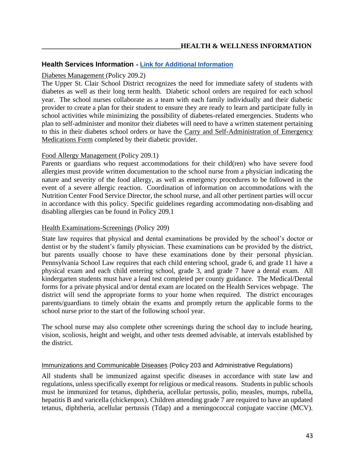#### **Health Services Information - [Link for Additional Information](https://www.uscsd.k12.pa.us/Page/113)**

#### [Diabetes Management](https://www.uscsd.k12.pa.us/cms/lib/PA01000033/Centricity/Domain/17/209.2%20-%20Diabetes%20Management.pdf) (Policy 209.2)

The Upper St. Clair School District recognizes the need for immediate safety of students with diabetes as well as their long term health. Diabetic school orders are required for each school year. The school nurses collaborate as a team with each family individually and their diabetic provider to create a plan for their student to ensure they are ready to learn and participate fully in school activities while minimizing the possibility of diabetes-related emergencies. Students who plan to self-administer and monitor their diabetes will need to have a written statement pertaining to this in their diabetes school orders or have the [Carry and Self-Administration of Emergency](https://www.uscsd.k12.pa.us/cms/lib/PA01000033/Centricity/Domain/17/210.1%20AR%20-%20Carry%20and%20Self-Administration%20of%20Emergency%20Medications%20Form.pdf)  [Medications Form](https://www.uscsd.k12.pa.us/cms/lib/PA01000033/Centricity/Domain/17/210.1%20AR%20-%20Carry%20and%20Self-Administration%20of%20Emergency%20Medications%20Form.pdf) completed by their diabetic provider.

#### [Food Allergy Management](https://www.uscsd.k12.pa.us/cms/lib/PA01000033/Centricity/Domain/17/209.1%20-%20Food%20Allergy%20Management.pdf) (Policy 209.1)

Parents or guardians who request accommodations for their child(ren) who have severe food allergies must provide written documentation to the school nurse from a physician indicating the nature and severity of the food allergy, as well as emergency procedures to be followed in the event of a severe allergic reaction. Coordination of information on accommodations with the Nutrition Center Food Service Director, the school nurse, and all other pertinent parties will occur in accordance with this policy. Specific guidelines regarding accommodating non-disabling and disabling allergies can be found in Policy 209.1

#### [Health Examinations-Screenings](https://www.uscsd.k12.pa.us/cms/lib/PA01000033/Centricity/Domain/17/209%20-%20Health%20Examinations-Screenings.pdf) (Policy 209)

State law requires that physical and dental examinations be provided by the school's doctor or dentist or by the student's family physician. These examinations can be provided by the district, but parents usually choose to have these examinations done by their personal physician. Pennsylvania School Law requires that each child entering school, grade 6, and grade 11 have a physical exam and each child entering school, grade 3, and grade 7 have a dental exam. All kindergarten students must have a lead test completed per county guidance. The Medical/Dental forms for a private physical and/or dental exam are located on the Health Services webpage. The district will send the appropriate forms to your home when required. The district encourages parents/guardians to timely obtain the exams and promptly return the applicable forms to the school nurse prior to the start of the following school year.

The school nurse may also complete other screenings during the school day to include hearing, vision, scoliosis, height and weight, and other tests deemed advisable, at intervals established by the district.

#### [Immunizations and Communicable Diseases](https://www.uscsd.k12.pa.us/cms/lib/PA01000033/Centricity/Domain/17/203%20-%20Immunizations%20and%20Communicable%20Diseases.pdf) (Policy 203 and Administrative Regulations)

All students shall be immunized against specific diseases in accordance with state law and regulations, unless specifically exempt for religious or medical reasons. Students in public schools must be immunized for tetanus, diphtheria, acellular pertussis, polio, measles, mumps, rubella, hepatitis B and varicella (chickenpox). Children attending grade 7 are required to have an updated tetanus, diphtheria, acellular pertussis (Tdap) and a meningococcal conjugate vaccine (MCV).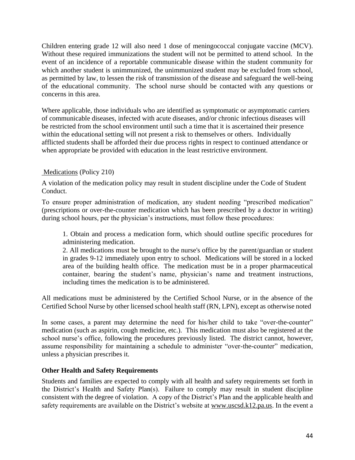Children entering grade 12 will also need 1 dose of meningococcal conjugate vaccine (MCV). Without these required immunizations the student will not be permitted to attend school. In the event of an incidence of a reportable communicable disease within the student community for which another student is unimmunized, the unimmunized student may be excluded from school, as permitted by law, to lessen the risk of transmission of the disease and safeguard the well-being of the educational community. The school nurse should be contacted with any questions or concerns in this area.

Where applicable, those individuals who are identified as symptomatic or asymptomatic carriers of communicable diseases, infected with acute diseases, and/or chronic infectious diseases will be restricted from the school environment until such a time that it is ascertained their presence within the educational setting will not present a risk to themselves or others. Individually afflicted students shall be afforded their due process rights in respect to continued attendance or when appropriate be provided with education in the least restrictive environment.

### [Medications](https://www.uscsd.k12.pa.us/cms/lib/PA01000033/Centricity/Domain/17/210%20-%20Medications.pdf) (Policy 210)

A violation of the medication policy may result in student discipline under the Code of Student Conduct.

To ensure proper administration of medication, any student needing "prescribed medication" (prescriptions or over-the-counter medication which has been prescribed by a doctor in writing) during school hours, per the physician's instructions, must follow these procedures:

1. Obtain and process a medication form, which should outline specific procedures for administering medication.

2. All medications must be brought to the nurse's office by the parent/guardian or student in grades 9-12 immediately upon entry to school. Medications will be stored in a locked area of the building health office. The medication must be in a proper pharmaceutical container, bearing the student's name, physician's name and treatment instructions, including times the medication is to be administered.

All medications must be administered by the Certified School Nurse, or in the absence of the Certified School Nurse by other licensed school health staff (RN, LPN), except as otherwise noted

In some cases, a parent may determine the need for his/her child to take "over-the-counter" medication (such as aspirin, cough medicine, etc.). This medication must also be registered at the school nurse's office, following the procedures previously listed. The district cannot, however, assume responsibility for maintaining a schedule to administer "over-the-counter" medication, unless a physician prescribes it.

# **Other Health and Safety Requirements**

Students and families are expected to comply with all health and safety requirements set forth in the District's Health and Safety Plan(s). Failure to comply may result in student discipline consistent with the degree of violation. A copy of the District's Plan and the applicable health and safety requirements are available on the District's website at [www.uscsd.k12.pa.us.](http://www.uscsd.k12.pa.us/) In the event a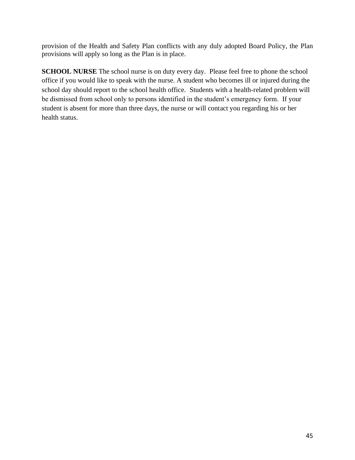provision of the Health and Safety Plan conflicts with any duly adopted Board Policy, the Plan provisions will apply so long as the Plan is in place.

**SCHOOL NURSE** The school nurse is on duty every day. Please feel free to phone the school office if you would like to speak with the nurse. A student who becomes ill or injured during the school day should report to the school health office. Students with a health-related problem will be dismissed from school only to persons identified in the student's emergency form. If your student is absent for more than three days, the nurse or will contact you regarding his or her health status.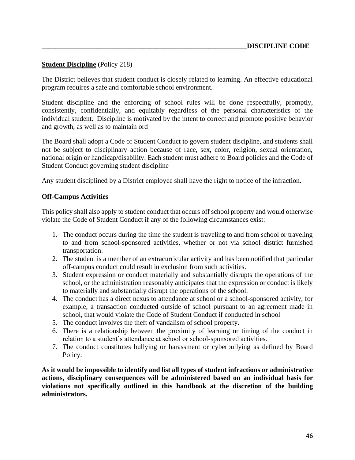#### **[Student Discipline](https://www.uscsd.k12.pa.us/cms/lib/PA01000033/Centricity/Domain/17/218%20-%20Student%20Discipline.pdf)** (Policy 218)

The District believes that student conduct is closely related to learning. An effective educational program requires a safe and comfortable school environment.

Student discipline and the enforcing of school rules will be done respectfully, promptly, consistently, confidentially, and equitably regardless of the personal characteristics of the individual student. Discipline is motivated by the intent to correct and promote positive behavior and growth, as well as to maintain ord

The Board shall adopt a Code of Student Conduct to govern student discipline, and students shall not be subject to disciplinary action because of race, sex, color, religion, sexual orientation, national origin or handicap/disability. Each student must adhere to Board policies and the Code of Student Conduct governing student discipline

Any student disciplined by a District employee shall have the right to notice of the infraction.

#### **Off-Campus Activities**

This policy shall also apply to student conduct that occurs off school property and would otherwise violate the Code of Student Conduct if any of the following circumstances exist:

- 1. The conduct occurs during the time the student is traveling to and from school or traveling to and from school-sponsored activities, whether or not via school district furnished transportation.
- 2. The student is a member of an extracurricular activity and has been notified that particular off-campus conduct could result in exclusion from such activities.
- 3. Student expression or conduct materially and substantially disrupts the operations of the school, or the administration reasonably anticipates that the expression or conduct is likely to materially and substantially disrupt the operations of the school.
- 4. The conduct has a direct nexus to attendance at school or a school-sponsored activity, for example, a transaction conducted outside of school pursuant to an agreement made in school, that would violate the Code of Student Conduct if conducted in school
- 5. The conduct involves the theft of vandalism of school property.
- 6. There is a relationship between the proximity of learning or timing of the conduct in relation to a student's attendance at school or school-sponsored activities.
- 7. The conduct constitutes bullying or harassment or cyberbullying as defined by Board Policy.

**As it would be impossible to identify and list all types of student infractions or administrative actions, disciplinary consequences will be administered based on an individual basis for violations not specifically outlined in this handbook at the discretion of the building administrators.**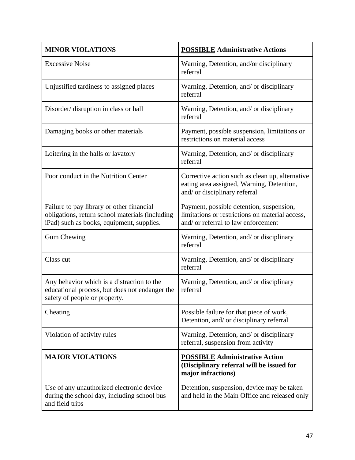| <b>MINOR VIOLATIONS</b>                                                                                                                   | <b>POSSIBLE Administrative Actions</b>                                                                                             |
|-------------------------------------------------------------------------------------------------------------------------------------------|------------------------------------------------------------------------------------------------------------------------------------|
| <b>Excessive Noise</b>                                                                                                                    | Warning, Detention, and/or disciplinary<br>referral                                                                                |
| Unjustified tardiness to assigned places                                                                                                  | Warning, Detention, and/ or disciplinary<br>referral                                                                               |
| Disorder/ disruption in class or hall                                                                                                     | Warning, Detention, and/ or disciplinary<br>referral                                                                               |
| Damaging books or other materials                                                                                                         | Payment, possible suspension, limitations or<br>restrictions on material access                                                    |
| Loitering in the halls or lavatory                                                                                                        | Warning, Detention, and/ or disciplinary<br>referral                                                                               |
| Poor conduct in the Nutrition Center                                                                                                      | Corrective action such as clean up, alternative<br>eating area assigned, Warning, Detention,<br>and/ or disciplinary referral      |
| Failure to pay library or other financial<br>obligations, return school materials (including<br>iPad) such as books, equipment, supplies. | Payment, possible detention, suspension,<br>limitations or restrictions on material access,<br>and/ or referral to law enforcement |
| <b>Gum Chewing</b>                                                                                                                        | Warning, Detention, and/ or disciplinary<br>referral                                                                               |
| Class cut                                                                                                                                 | Warning, Detention, and/ or disciplinary<br>referral                                                                               |
| Any behavior which is a distraction to the<br>educational process, but does not endanger the<br>safety of people or property.             | Warning, Detention, and/ or disciplinary<br>referral                                                                               |
| Cheating                                                                                                                                  | Possible failure for that piece of work,<br>Detention, and/ or disciplinary referral                                               |
| Violation of activity rules                                                                                                               | Warning, Detention, and/ or disciplinary<br>referral, suspension from activity                                                     |
| <b>MAJOR VIOLATIONS</b>                                                                                                                   | <b>POSSIBLE Administrative Action</b><br>(Disciplinary referral will be issued for<br>major infractions)                           |
| Use of any unauthorized electronic device<br>during the school day, including school bus<br>and field trips                               | Detention, suspension, device may be taken<br>and held in the Main Office and released only                                        |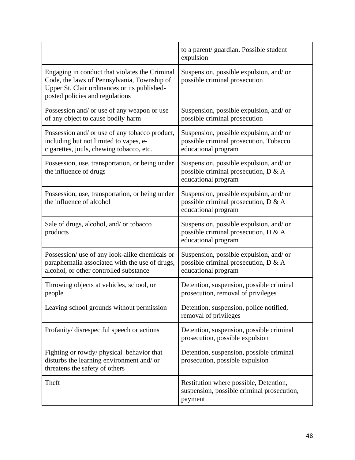|                                                                                                                                                                                  | to a parent/ guardian. Possible student<br>expulsion                                                     |
|----------------------------------------------------------------------------------------------------------------------------------------------------------------------------------|----------------------------------------------------------------------------------------------------------|
| Engaging in conduct that violates the Criminal<br>Code, the laws of Pennsylvania, Township of<br>Upper St. Clair ordinances or its published-<br>posted policies and regulations | Suspension, possible expulsion, and/ or<br>possible criminal prosecution                                 |
| Possession and/ or use of any weapon or use<br>of any object to cause bodily harm                                                                                                | Suspension, possible expulsion, and/ or<br>possible criminal prosecution                                 |
| Possession and/ or use of any tobacco product,<br>including but not limited to vapes, e-<br>cigarettes, juuls, chewing tobacco, etc.                                             | Suspension, possible expulsion, and/ or<br>possible criminal prosecution, Tobacco<br>educational program |
| Possession, use, transportation, or being under<br>the influence of drugs                                                                                                        | Suspension, possible expulsion, and/ or<br>possible criminal prosecution, D & A<br>educational program   |
| Possession, use, transportation, or being under<br>the influence of alcohol                                                                                                      | Suspension, possible expulsion, and/ or<br>possible criminal prosecution, D & A<br>educational program   |
| Sale of drugs, alcohol, and/ or tobacco<br>products                                                                                                                              | Suspension, possible expulsion, and/ or<br>possible criminal prosecution, D & A<br>educational program   |
| Possession/ use of any look-alike chemicals or<br>paraphernalia associated with the use of drugs,<br>alcohol, or other controlled substance                                      | Suspension, possible expulsion, and/ or<br>possible criminal prosecution, D & A<br>educational program   |
| Throwing objects at vehicles, school, or<br>people                                                                                                                               | Detention, suspension, possible criminal<br>prosecution, removal of privileges                           |
| Leaving school grounds without permission                                                                                                                                        | Detention, suspension, police notified,<br>removal of privileges                                         |
| Profanity/ disrespectful speech or actions                                                                                                                                       | Detention, suspension, possible criminal<br>prosecution, possible expulsion                              |
| Fighting or rowdy/ physical behavior that<br>disturbs the learning environment and/ or<br>threatens the safety of others                                                         | Detention, suspension, possible criminal<br>prosecution, possible expulsion                              |
| Theft                                                                                                                                                                            | Restitution where possible, Detention,<br>suspension, possible criminal prosecution,<br>payment          |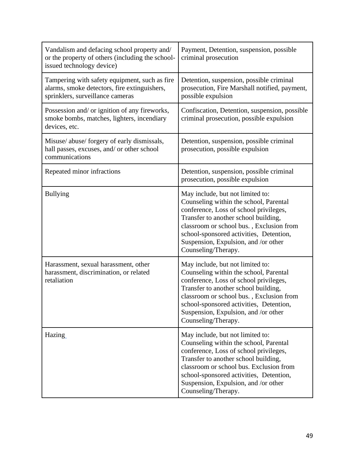| Vandalism and defacing school property and/<br>or the property of others (including the school-<br>issued technology device)      | Payment, Detention, suspension, possible<br>criminal prosecution                                                                                                                                                                                                                                                   |
|-----------------------------------------------------------------------------------------------------------------------------------|--------------------------------------------------------------------------------------------------------------------------------------------------------------------------------------------------------------------------------------------------------------------------------------------------------------------|
| Tampering with safety equipment, such as fire<br>alarms, smoke detectors, fire extinguishers,<br>sprinklers, surveillance cameras | Detention, suspension, possible criminal<br>prosecution, Fire Marshall notified, payment,<br>possible expulsion                                                                                                                                                                                                    |
| Possession and/ or ignition of any fireworks,<br>smoke bombs, matches, lighters, incendiary<br>devices, etc.                      | Confiscation, Detention, suspension, possible<br>criminal prosecution, possible expulsion                                                                                                                                                                                                                          |
| Misuse/ abuse/ forgery of early dismissals,<br>hall passes, excuses, and/ or other school<br>communications                       | Detention, suspension, possible criminal<br>prosecution, possible expulsion                                                                                                                                                                                                                                        |
| Repeated minor infractions                                                                                                        | Detention, suspension, possible criminal<br>prosecution, possible expulsion                                                                                                                                                                                                                                        |
| <b>Bullying</b>                                                                                                                   | May include, but not limited to:<br>Counseling within the school, Parental<br>conference, Loss of school privileges,<br>Transfer to another school building,<br>classroom or school bus., Exclusion from<br>school-sponsored activities, Detention,<br>Suspension, Expulsion, and /or other<br>Counseling/Therapy. |
| Harassment, sexual harassment, other<br>harassment, discrimination, or related<br>retaliation                                     | May include, but not limited to:<br>Counseling within the school, Parental<br>conference, Loss of school privileges,<br>Transfer to another school building,<br>classroom or school bus., Exclusion from<br>school-sponsored activities, Detention,<br>Suspension, Expulsion, and /or other<br>Counseling/Therapy. |
| Hazing                                                                                                                            | May include, but not limited to:<br>Counseling within the school, Parental<br>conference, Loss of school privileges,<br>Transfer to another school building,<br>classroom or school bus. Exclusion from<br>school-sponsored activities, Detention,<br>Suspension, Expulsion, and /or other<br>Counseling/Therapy.  |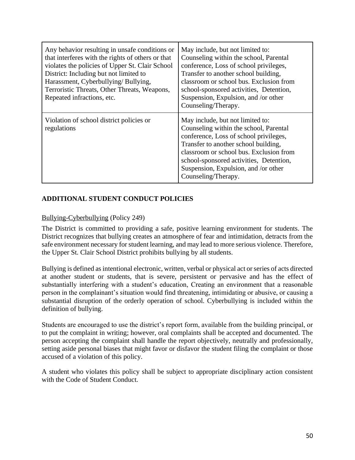| Any behavior resulting in unsafe conditions or<br>that interferes with the rights of others or that<br>violates the policies of Upper St. Clair School<br>District: Including but not limited to<br>Harassment, Cyberbullying/Bullying,<br>Terroristic Threats, Other Threats, Weapons,<br>Repeated infractions, etc. | May include, but not limited to:<br>Counseling within the school, Parental<br>conference, Loss of school privileges,<br>Transfer to another school building,<br>classroom or school bus. Exclusion from<br>school-sponsored activities, Detention,<br>Suspension, Expulsion, and /or other<br>Counseling/Therapy. |
|-----------------------------------------------------------------------------------------------------------------------------------------------------------------------------------------------------------------------------------------------------------------------------------------------------------------------|-------------------------------------------------------------------------------------------------------------------------------------------------------------------------------------------------------------------------------------------------------------------------------------------------------------------|
| Violation of school district policies or<br>regulations                                                                                                                                                                                                                                                               | May include, but not limited to:<br>Counseling within the school, Parental<br>conference, Loss of school privileges,<br>Transfer to another school building,<br>classroom or school bus. Exclusion from<br>school-sponsored activities, Detention,<br>Suspension, Expulsion, and /or other<br>Counseling/Therapy. |

# **ADDITIONAL STUDENT CONDUCT POLICIES**

### [Bullying-Cyberbullying](https://www.uscsd.k12.pa.us/cms/lib/PA01000033/Centricity/Domain/17/249%20-%20Bullying-Cyberbullying.pdf) (Policy 249)

The District is committed to providing a safe, positive learning environment for students. The District recognizes that bullying creates an atmosphere of fear and intimidation, detracts from the safe environment necessary for student learning, and may lead to more serious violence. Therefore, the Upper St. Clair School District prohibits bullying by all students.

Bullying is defined as intentional electronic, written, verbal or physical act or series of acts directed at another student or students, that is severe, persistent or pervasive and has the effect of substantially interfering with a student's education, Creating an environment that a reasonable person in the complainant's situation would find threatening, intimidating or abusive, or causing a substantial disruption of the orderly operation of school. Cyberbullying is included within the definition of bullying.

Students are encouraged to use the district's report form, available from the building principal, or to put the complaint in writing; however, oral complaints shall be accepted and documented. The person accepting the complaint shall handle the report objectively, neutrally and professionally, setting aside personal biases that might favor or disfavor the student filing the complaint or those accused of a violation of this policy.

A student who violates this policy shall be subject to appropriate disciplinary action consistent with the Code of Student Conduct.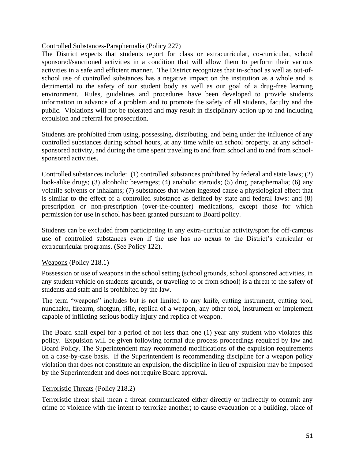#### [Controlled Substances-Paraphernalia](https://www.uscsd.k12.pa.us/cms/lib/PA01000033/Centricity/Domain/17/227%20-%20Controlled%20Substances-Paraphernalia.pdf) (Policy 227)

The District expects that students report for class or extracurricular, co-curricular, school sponsored/sanctioned activities in a condition that will allow them to perform their various activities in a safe and efficient manner. The District recognizes that in-school as well as out-ofschool use of controlled substances has a negative impact on the institution as a whole and is detrimental to the safety of our student body as well as our goal of a drug-free learning environment. Rules, guidelines and procedures have been developed to provide students information in advance of a problem and to promote the safety of all students, faculty and the public. Violations will not be tolerated and may result in disciplinary action up to and including expulsion and referral for prosecution.

Students are prohibited from using, possessing, distributing, and being under the influence of any controlled substances during school hours, at any time while on school property, at any schoolsponsored activity, and during the time spent traveling to and from school and to and from schoolsponsored activities.

Controlled substances include: (1) controlled substances prohibited by federal and state laws; (2) look-alike drugs; (3) alcoholic beverages; (4) anabolic steroids; (5) drug paraphernalia; (6) any volatile solvents or inhalants; (7) substances that when ingested cause a physiological effect that is similar to the effect of a controlled substance as defined by state and federal laws: and (8) prescription or non-prescription (over-the-counter) medications, except those for which permission for use in school has been granted pursuant to Board policy.

Students can be excluded from participating in any extra-curricular activity/sport for off-campus use of controlled substances even if the use has no nexus to the District's curricular or extracurricular programs. (See Policy 122).

#### [Weapons](https://www.uscsd.k12.pa.us/cms/lib/PA01000033/Centricity/Domain/17/218.1%20-%20Weapons.pdf) (Policy 218.1)

Possession or use of weapons in the school setting (school grounds, school sponsored activities, in any student vehicle on students grounds, or traveling to or from school) is a threat to the safety of students and staff and is prohibited by the law.

The term "weapons" includes but is not limited to any knife, cutting instrument, cutting tool, nunchaku, firearm, shotgun, rifle, replica of a weapon, any other tool, instrument or implement capable of inflicting serious bodily injury and replica of weapon.

The Board shall expel for a period of not less than one (1) year any student who violates this policy. Expulsion will be given following formal due process proceedings required by law and Board Policy. The Superintendent may recommend modifications of the expulsion requirements on a case-by-case basis. If the Superintendent is recommending discipline for a weapon policy violation that does not constitute an expulsion, the discipline in lieu of expulsion may be imposed by the Superintendent and does not require Board approval.

#### [Terroristic Threats](https://www.uscsd.k12.pa.us/cms/lib/PA01000033/Centricity/Domain/17/218.2%20-%20Terroristic%20Threats.pdf) (Policy 218.2)

Terroristic threat shall mean a threat communicated either directly or indirectly to commit any crime of violence with the intent to terrorize another; to cause evacuation of a building, place of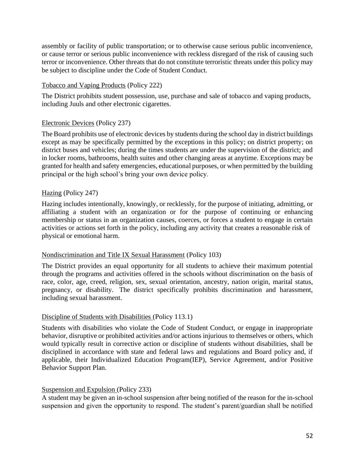assembly or facility of public transportation; or to otherwise cause serious public inconvenience, or cause terror or serious public inconvenience with reckless disregard of the risk of causing such terror or inconvenience. Other threats that do not constitute terroristic threats under this policy may be subject to discipline under the Code of Student Conduct.

#### [Tobacco and Vaping Products](https://www.uscsd.k12.pa.us/cms/lib/PA01000033/Centricity/Domain/17/222%20-%20Tobacco%20and%20Vaping%20Products.pdf) (Policy 222)

The District prohibits student possession, use, purchase and sale of tobacco and vaping products, including Juuls and other electronic cigarettes.

#### [Electronic Devices](https://www.uscsd.k12.pa.us/cms/lib/PA01000033/Centricity/Domain/17/237%20-%20Electronic%20Devices.pdf) (Policy 237)

The Board prohibits use of electronic devices by students during the school day in district buildings except as may be specifically permitted by the exceptions in this policy; on district property; on district buses and vehicles; during the times students are under the supervision of the district; and in locker rooms, bathrooms, health suites and other changing areas at anytime. Exceptions may be granted for health and safety emergencies, educational purposes, or when permitted by the building principal or the high school's bring your own device policy.

#### [Hazing](https://www.uscsd.k12.pa.us/cms/lib/PA01000033/Centricity/Domain/17/247%20-%20Hazing.pdf) (Policy 247)

Hazing includes intentionally, knowingly, or recklessly, for the purpose of initiating, admitting, or affiliating a student with an organization or for the purpose of continuing or enhancing membership or status in an organization causes, coerces, or forces a student to engage in certain activities or actions set forth in the policy, including any activity that creates a reasonable risk of physical or emotional harm.

#### [Nondiscrimination and Title IX Sexual Harassment](https://www.uscsd.k12.pa.us/cms/lib/PA01000033/Centricity/Domain/17/103%20-%20Discrimination-Title%20IX%20Sexual%20Harassment%20Affecting%20Students.pdf) (Policy 103)

The District provides an equal opportunity for all students to achieve their maximum potential through the programs and activities offered in the schools without discrimination on the basis of race, color, age, creed, religion, sex, sexual orientation, ancestry, nation origin, marital status, pregnancy, or disability. The district specifically prohibits discrimination and harassment, including sexual harassment.

#### [Discipline of Students with Disabilities](https://www.uscsd.k12.pa.us/cms/lib/PA01000033/Centricity/Domain/17/113.1%20-%20Discipline%20of%20Students%20with%20Disabilities.pdf) (Policy 113.1)

Students with disabilities who violate the Code of Student Conduct, or engage in inappropriate behavior, disruptive or prohibited activities and/or actions injurious to themselves or others, which would typically result in corrective action or discipline of students without disabilities, shall be disciplined in accordance with state and federal laws and regulations and Board policy and, if applicable, their Individualized Education Program(IEP), Service Agreement, and/or Positive Behavior Support Plan.

#### [Suspension and Expulsion](https://www.uscsd.k12.pa.us/cms/lib/PA01000033/Centricity/Domain/17/233%20-%20Suspension%20and%20Expulsion.pdf) (Policy 233)

A student may be given an in-school suspension after being notified of the reason for the in-school suspension and given the opportunity to respond. The student's parent/guardian shall be notified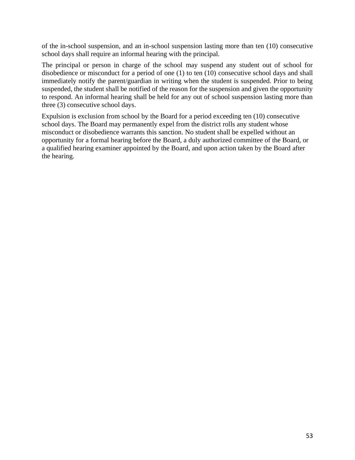of the in-school suspension, and an in-school suspension lasting more than ten (10) consecutive school days shall require an informal hearing with the principal.

The principal or person in charge of the school may suspend any student out of school for disobedience or misconduct for a period of one (1) to ten (10) consecutive school days and shall immediately notify the parent/guardian in writing when the student is suspended. Prior to being suspended, the student shall be notified of the reason for the suspension and given the opportunity to respond. An informal hearing shall be held for any out of school suspension lasting more than three (3) consecutive school days.

Expulsion is exclusion from school by the Board for a period exceeding ten (10) consecutive school days. The Board may permanently expel from the district rolls any student whose misconduct or disobedience warrants this sanction. No student shall be expelled without an opportunity for a formal hearing before the Board, a duly authorized committee of the Board, or a qualified hearing examiner appointed by the Board, and upon action taken by the Board after the hearing.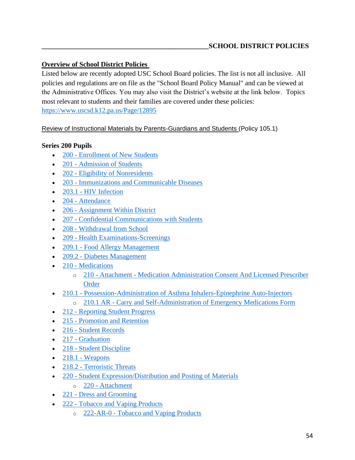# **Overview of School District Policies**

Listed below are recently adopted USC School Board policies. The list is not all inclusive. All policies and regulations are on file as the "School Board Policy Manual" and can be viewed at the Administrative Offices. You may also visit the District's website at the link below. Topics most relevant to students and their families are covered under these policies: <https://www.uscsd.k12.pa.us/Page/12895>

[Review of Instructional Materials by Parents-Guardians and Students](https://www.uscsd.k12.pa.us/cms/lib/PA01000033/Centricity/Domain/17/105.1%20-%20Review%20of%20Instructional%20Materials%20by%20Parents-Guardians%20and%20Students.pdf) (Policy 105.1)

### **Series 200 Pupils**

- 200 [Enrollment of New Students](https://www.uscsd.k12.pa.us/cms/lib/PA01000033/Centricity/Domain/17/200%20-%20Enrollment%20of%20New%20Students.pdf)
- 201 [Admission of Students](https://www.uscsd.k12.pa.us/cms/lib/PA01000033/Centricity/Domain/17/201%20-%20Admission%20of%20Students.pdf)
- 202 [Eligibility of Nonresidents](https://www.uscsd.k12.pa.us/cms/lib/PA01000033/Centricity/Domain/17/202%20-%20Eligibility%20of%20Nonresidents.pdf)
- 203 [Immunizations and Communicable Diseases](https://www.uscsd.k12.pa.us/cms/lib/PA01000033/Centricity/Domain/17/203%20-%20Immunizations%20and%20Communicable%20Diseases.pdf)
- $\bullet$  203.1 [HIV Infection](https://www.uscsd.k12.pa.us/cms/lib/PA01000033/Centricity/Domain/17/203.1%20-%20HIV%20Infection.pdf)
- 204 [Attendance](https://www.uscsd.k12.pa.us/cms/lib/PA01000033/Centricity/Domain/17/204%20-%20Attendance.pdf)
- 206 [Assignment Within District](https://www.uscsd.k12.pa.us/cms/lib/PA01000033/Centricity/Domain/17/206%20-%20Assignment%20Within%20District.pdf)
- 207 [Confidential Communications with Students](https://www.uscsd.k12.pa.us/cms/lib/PA01000033/Centricity/Domain/17/207%20-%20Confidential%20Communications%20with%20Students.pdf)
- 208 [Withdrawal from School](https://www.uscsd.k12.pa.us/cms/lib/PA01000033/Centricity/Domain/17/208%20-%20Withdrawal%20from%20School.pdf)
- 209 [Health Examinations-Screenings](https://www.uscsd.k12.pa.us/cms/lib/PA01000033/Centricity/Domain/17/209%20-%20Health%20Examinations-Screenings.pdf)
- 209.1 [Food Allergy Management](https://www.uscsd.k12.pa.us/cms/lib/PA01000033/Centricity/Domain/17/209.1%20-%20Food%20Allergy%20Management.pdf)
- 209.2 [Diabetes Management](https://www.uscsd.k12.pa.us/cms/lib/PA01000033/Centricity/Domain/17/209.2%20-%20Diabetes%20Management.pdf)
- 210 [Medications](https://www.uscsd.k12.pa.us/cms/lib/PA01000033/Centricity/Domain/17/210%20-%20Medications.pdf)
	- o 210 Attachment [Medication Administration Consent And Licensed Prescriber](https://www.uscsd.k12.pa.us/cms/lib/PA01000033/Centricity/Domain/17/210%20-%20Attachment%20-%20Medication%20Administration%20Consent%20And%20Licensed%20Prescriber%20Order.pdf)  [Order](https://www.uscsd.k12.pa.us/cms/lib/PA01000033/Centricity/Domain/17/210%20-%20Attachment%20-%20Medication%20Administration%20Consent%20And%20Licensed%20Prescriber%20Order.pdf)
- 210.1 [Possession-Administration of Asthma Inhalers-Epinephrine Auto-Injectors](https://www.uscsd.k12.pa.us/cms/lib/PA01000033/Centricity/Domain/17/210.1%20-%20Possession-Administration%20of%20Asthma%20Inhalers-Epinephrine%20Auto-Injectors.pdf)
	- o 210.1 AR [Carry and Self-Administration of Emergency Medications Form](https://www.uscsd.k12.pa.us/cms/lib/PA01000033/Centricity/Domain/17/210.1%20AR%20-%20Carry%20and%20Self-Administration%20of%20Emergency%20Medications%20Form.pdf)
- 212 [Reporting Student Progress](https://www.uscsd.k12.pa.us/cms/lib/PA01000033/Centricity/Domain/17/212%20-%20Reporting%20Student%20Progress.pdf)
- 215 [Promotion and Retention](https://www.uscsd.k12.pa.us/cms/lib/PA01000033/Centricity/Domain/17/215%20-%20Promotion%20and%20Retention.pdf)
- 216 [Student Records](https://www.uscsd.k12.pa.us/cms/lib/PA01000033/Centricity/Domain/17/216%20-%20Student%20Records.pdf)
- 217 [Graduation](https://www.uscsd.k12.pa.us/cms/lib/PA01000033/Centricity/Domain/17/217%20-%20Graduation.pdf)
- 218 [Student Discipline](https://www.uscsd.k12.pa.us/cms/lib/PA01000033/Centricity/Domain/17/218%20-%20Student%20Discipline.pdf)
- $\bullet$  218.1 [Weapons](https://www.uscsd.k12.pa.us/cms/lib/PA01000033/Centricity/Domain/17/218.1%20-%20Weapons.pdf)
- 218.2 [Terroristic Threats](https://www.uscsd.k12.pa.us/cms/lib/PA01000033/Centricity/Domain/17/218.2%20-%20Terroristic%20Threats.pdf)
- 220 [Student Expression/Distribution and Posting of Materials](https://www.uscsd.k12.pa.us/cms/lib/PA01000033/Centricity/Domain/17/220%20-%20Student%20Expression-Distribution%20and%20Posting%20of%20Materials.pdf)
	- o 220 [Attachment](https://www.uscsd.k12.pa.us/cms/lib/PA01000033/Centricity/Domain/17/220%20-%20Attachment.pdf)
- 221 [Dress and Grooming](https://www.uscsd.k12.pa.us/cms/lib/PA01000033/Centricity/Domain/17/221%20-%20Dress%20and%20Grooming.pdf)
- 222 [Tobacco and Vaping Products](https://www.uscsd.k12.pa.us/cms/lib/PA01000033/Centricity/Domain/17/222%20-%20Tobacco%20and%20Vaping%20Products.pdf)
	- o 222-AR-0 [Tobacco and Vaping Products](https://www.uscsd.k12.pa.us/cms/lib/PA01000033/Centricity/Domain/17/222-AR-0%20-%20Tobacco%20and%20Vaping%20Products.pdf)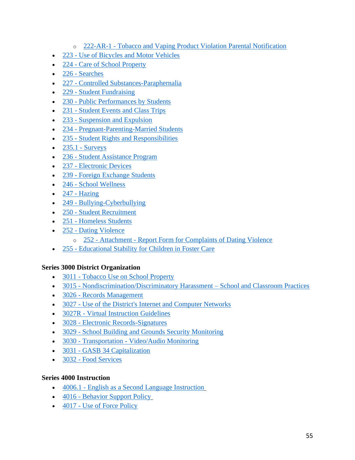- o 222-AR-1 [Tobacco and Vaping Product Violation Parental Notification](https://www.uscsd.k12.pa.us/cms/lib/PA01000033/Centricity/Domain/17/222-AR-1%20-%20Tobacco%20and%20Vaping%20Product%20Violation%20Parental%20Notification.pdf)
- 223 [Use of Bicycles and Motor Vehicles](https://www.uscsd.k12.pa.us/cms/lib/PA01000033/Centricity/Domain/17/223%20-%20Use%20of%20Bicycles%20and%20Motor%20Vehicles.pdf)
- 224 [Care of School Property](https://www.uscsd.k12.pa.us/cms/lib/PA01000033/Centricity/Domain/17/224%20-%20Care%20of%20School%20Property.pdf)
- 226 [Searches](https://www.uscsd.k12.pa.us/cms/lib/PA01000033/Centricity/Domain/17/226%20-%20Searches.pdf)
- 227 [Controlled Substances-Paraphernalia](https://www.uscsd.k12.pa.us/cms/lib/PA01000033/Centricity/Domain/17/227%20-%20Controlled%20Substances-Paraphernalia.pdf)
- 229 [Student Fundraising](https://www.uscsd.k12.pa.us/cms/lib/PA01000033/Centricity/Domain/17/229%20-%20Student%20Fundraising.pdf)
- 230 [Public Performances by Students](https://www.uscsd.k12.pa.us/cms/lib/PA01000033/Centricity/Domain/17/230%20-%20Public%20Performances%20by%20Students.pdf)
- 231 [Student Events and Class Trips](https://www.uscsd.k12.pa.us/cms/lib/PA01000033/Centricity/Domain/17/231%20-%20Student%20Events%20and%20Class%20Trips.pdf)
- 233 [Suspension and Expulsion](https://www.uscsd.k12.pa.us/cms/lib/PA01000033/Centricity/Domain/17/233%20-%20Suspension%20and%20Expulsion.pdf)
- 234 [Pregnant-Parenting-Married Students](https://www.uscsd.k12.pa.us/cms/lib/PA01000033/Centricity/Domain/17/234%20-%20Pregnant-Parenting-Married%20Students.pdf)
- 235 [Student Rights and Responsibilities](https://www.uscsd.k12.pa.us/cms/lib/PA01000033/Centricity/Domain/17/235%20-%20Student%20Rights%20and%20Responsibilities.pdf)
- $\bullet$  235.1 [Surveys](https://www.uscsd.k12.pa.us/cms/lib/PA01000033/Centricity/Domain/17/235.1%20-%20Surveys.pdf)
- 236 [Student Assistance Program](https://www.uscsd.k12.pa.us/cms/lib/PA01000033/Centricity/Domain/17/236%20-%20Student%20Assistance%20Program.pdf)
- 237 [Electronic Devices](https://www.uscsd.k12.pa.us/cms/lib/PA01000033/Centricity/Domain/17/237%20-%20Electronic%20Devices.pdf)
- 239 [Foreign Exchange Students](https://www.uscsd.k12.pa.us/cms/lib/PA01000033/Centricity/Domain/17/239%20-%20Foreign%20Exchange%20Students.pdf)
- 246 [School Wellness](https://www.uscsd.k12.pa.us/cms/lib/PA01000033/Centricity/Domain/17/246%20-%20School%20Wellness.pdf)
- $\bullet$  247 [Hazing](https://www.uscsd.k12.pa.us/cms/lib/PA01000033/Centricity/Domain/17/247%20-%20Hazing.pdf)
- 249 [Bullying-Cyberbullying](https://www.uscsd.k12.pa.us/cms/lib/PA01000033/Centricity/Domain/17/249%20-%20Bullying-Cyberbullying.pdf)
- 250 [Student Recruitment](https://www.uscsd.k12.pa.us/cms/lib/PA01000033/Centricity/Domain/17/250%20-%20Student%20Recruitment.pdf)
- 251 [Homeless Students](https://www.uscsd.k12.pa.us/cms/lib/PA01000033/Centricity/Domain/17/251%20-%20Homeless%20Students.pdf)
- 252 [Dating Violence](https://www.uscsd.k12.pa.us/cms/lib/PA01000033/Centricity/Domain/17/252%20-%20Dating%20Violence.pdf)
	- o 252 Attachment [Report Form for Complaints of Dating Violence](https://www.uscsd.k12.pa.us/cms/lib/PA01000033/Centricity/Domain/17/252%20-%20Attachment%20-%20Report%20Form%20for%20Complaints%20of%20Dating%20Violence.pdf)
- 255 [Educational Stability for Children in Foster Care](https://www.uscsd.k12.pa.us/cms/lib/PA01000033/Centricity/Domain/17/255%20-%20Educational%20Stability%20for%20Children%20in%20Foster%20Care.pdf)

#### **Series 3000 District Organization**

- 3011 [Tobacco Use on School Property](https://www.uscsd.k12.pa.us/cms/lib/PA01000033/Centricity/Domain/17/3011%20-%20Tobacco%20Use%20on%20School%20Property.pdf)
- 3015 [Nondiscrimination/Discriminatory Harassment –](https://www.uscsd.k12.pa.us/cms/lib/PA01000033/Centricity/Domain/17/3015%20-%20Nondiscrimination-Discriminatory%20Harassment%20-%20%20School%20and%20Classroom%20Practices.pdf) School and Classroom Practices
- 3026 [Records Management](https://www.uscsd.k12.pa.us/cms/lib/PA01000033/Centricity/Domain/17/3026%20-%20Records%20Management.pdf)
- 3027 [Use of the District's Internet and Computer Networks](https://www.uscsd.k12.pa.us/cms/lib/PA01000033/Centricity/Domain/17/3027-UseOfTheDistrictInternetAndComputerNetworks.pdf)
- 3027R [Virtual Instruction Guidelines](https://www.uscsd.k12.pa.us/cms/lib/PA01000033/Centricity/Domain/17/Administrative%20Regulation%203027R%20-%20Virtual%20Instruction%20Guidelines.pdf)
- 3028 [Electronic Records-Signatures](https://www.uscsd.k12.pa.us/cms/lib/PA01000033/Centricity/Domain/17/3028-ElectronicRecordsSignatures.pdf)
- 3029 [School Building and Grounds Security Monitoring](https://www.uscsd.k12.pa.us/cms/lib/PA01000033/Centricity/Domain/17/3029%20-%20School%20Building%20and%20Grounds%20Security%20Monitoring.pdf)
- 3030 Transportation [Video/Audio Monitoring](https://www.uscsd.k12.pa.us/cms/lib/PA01000033/Centricity/Domain/17/3030TransportationVideoAudioMonitoring.pdf)
- 3031 [GASB 34 Capitalization](https://www.uscsd.k12.pa.us/cms/lib/PA01000033/Centricity/Domain/17/3031%20-%20GASB%2034%20Capitalization.pdf)
- 3032 [Food Services](https://www.uscsd.k12.pa.us/cms/lib/PA01000033/Centricity/Domain/17/3032%20-%20Food%20Services.pdf)

#### **Series 4000 Instruction**

- 4006.1 [English as a Second Language Instruction](https://www.uscsd.k12.pa.us/cms/lib/PA01000033/Centricity/Domain/17/4006.1%20-%20English%20as%20a%20Second%20Language%20Instruction.pdf)
- 4016 [Behavior Support Policy](https://www.uscsd.k12.pa.us/cms/lib/PA01000033/Centricity/Domain/17/4016%20-%20Behavior%20Support%20Policy.pdf)
- 4017 [Use of Force Policy](https://www.uscsd.k12.pa.us/cms/lib/PA01000033/Centricity/Domain/17/4017%20-%20Use%20of%20Force%20Policy.pdf)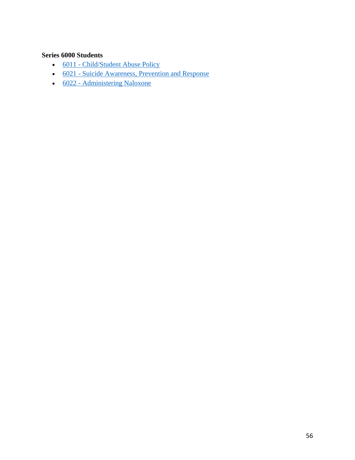# **Series 6000 Students**

- 6011 [Child/Student Abuse Policy](https://www.uscsd.k12.pa.us/cms/lib/PA01000033/Centricity/Domain/17/6011%20-%20Child-Student%20Abuse%20Policy.pdf)
- 6021 [Suicide Awareness, Prevention and Response](https://www.uscsd.k12.pa.us/cms/lib/PA01000033/Centricity/Domain/17/6021%20-%20Suicide%20Awareness%20Prevention%20and%20Response.pdf)
- 6022 [Administering Naloxone](https://www.uscsd.k12.pa.us/cms/lib/PA01000033/Centricity/Domain/17/Policy%206022%20-%20Administering%20Naloxone.pdf)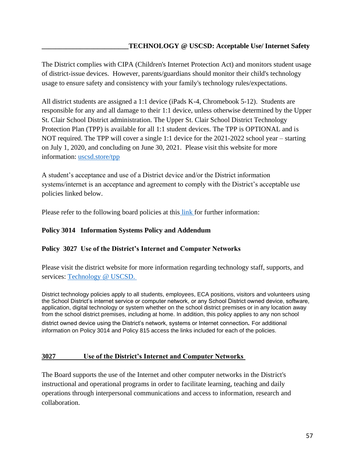The District complies with CIPA (Children's Internet Protection Act) and monitors student usage of district-issue devices. However, parents/guardians should monitor their child's technology usage to ensure safety and consistency with your family's technology rules/expectations.

All district students are assigned a 1:1 device (iPads K-4, Chromebook 5-12). Students are responsible for any and all damage to their 1:1 device, unless otherwise determined by the Upper St. Clair School District administration. The Upper St. Clair School District Technology Protection Plan (TPP) is available for all 1:1 student devices. The TPP is OPTIONAL and is NOT required. The TPP will cover a single 1:1 device for the 2021-2022 school year – starting on July 1, 2020, and concluding on June 30, 2021. Please visit this website for more information: [uscsd.store/tpp](http://uscsd.store/tpp)

A student's acceptance and use of a District device and/or the District information systems/internet is an acceptance and agreement to comply with the District's acceptable use policies linked below.

Please refer to the following board policies at this [link f](https://www.uscsd.k12.pa.us/Page/12895)or further information:

#### **Policy 3014 Information Systems Policy and Addendum**

#### **Policy 3027 Use of the District's Internet and Computer Networks**

Please visit the district website for more information regarding technology staff, supports, and services: [Technology @ USCSD.](https://www.uscsd.k12.pa.us/Domain/870)

District technology policies apply to all students, employees, ECA positions, visitors and volunteers using the School District's internet service or computer network, or any School District owned device, software, application, digital technology or system whether on the school district premises or in any location away from the school district premises, including at home. In addition, this policy applies to any non school

district owned device using the District's network, systems or Internet connection. For additional information on Policy 3014 and Policy 815 access the links included for each of the policies.

#### **3027 Use of the District's Internet and Computer Networks**

The Board supports the use of the Internet and other computer networks in the District's instructional and operational programs in order to facilitate learning, teaching and daily operations through interpersonal communications and access to information, research and collaboration.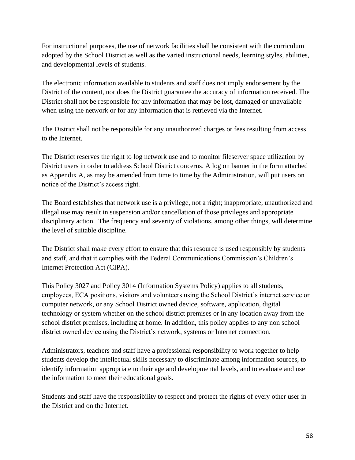For instructional purposes, the use of network facilities shall be consistent with the curriculum adopted by the School District as well as the varied instructional needs, learning styles, abilities, and developmental levels of students.

The electronic information available to students and staff does not imply endorsement by the District of the content, nor does the District guarantee the accuracy of information received. The District shall not be responsible for any information that may be lost, damaged or unavailable when using the network or for any information that is retrieved via the Internet.

The District shall not be responsible for any unauthorized charges or fees resulting from access to the Internet.

The District reserves the right to log network use and to monitor fileserver space utilization by District users in order to address School District concerns. A log on banner in the form attached as Appendix A, as may be amended from time to time by the Administration, will put users on notice of the District's access right.

The Board establishes that network use is a privilege, not a right; inappropriate, unauthorized and illegal use may result in suspension and/or cancellation of those privileges and appropriate disciplinary action. The frequency and severity of violations, among other things, will determine the level of suitable discipline.

The District shall make every effort to ensure that this resource is used responsibly by students and staff, and that it complies with the Federal Communications Commission's Children's Internet Protection Act (CIPA).

This Policy 3027 and Policy 3014 (Information Systems Policy) applies to all students, employees, ECA positions, visitors and volunteers using the School District's internet service or computer network, or any School District owned device, software, application, digital technology or system whether on the school district premises or in any location away from the school district premises, including at home. In addition, this policy applies to any non school district owned device using the District's network, systems or Internet connection.

Administrators, teachers and staff have a professional responsibility to work together to help students develop the intellectual skills necessary to discriminate among information sources, to identify information appropriate to their age and developmental levels, and to evaluate and use the information to meet their educational goals.

Students and staff have the responsibility to respect and protect the rights of every other user in the District and on the Internet.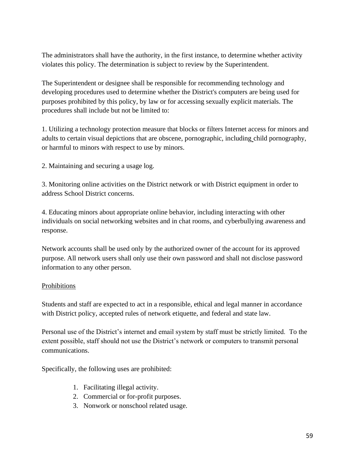The administrators shall have the authority, in the first instance, to determine whether activity violates this policy. The determination is subject to review by the Superintendent.

The Superintendent or designee shall be responsible for recommending technology and developing procedures used to determine whether the District's computers are being used for purposes prohibited by this policy, by law or for accessing sexually explicit materials. The procedures shall include but not be limited to:

1. Utilizing a technology protection measure that blocks or filters Internet access for minors and adults to certain visual depictions that are obscene, pornographic, including child pornography, or harmful to minors with respect to use by minors.

2. Maintaining and securing a usage log.

3. Monitoring online activities on the District network or with District equipment in order to address School District concerns.

4. Educating minors about appropriate online behavior, including interacting with other individuals on social networking websites and in chat rooms, and cyberbullying awareness and response.

Network accounts shall be used only by the authorized owner of the account for its approved purpose. All network users shall only use their own password and shall not disclose password information to any other person.

#### Prohibitions

Students and staff are expected to act in a responsible, ethical and legal manner in accordance with District policy, accepted rules of network etiquette, and federal and state law.

Personal use of the District's internet and email system by staff must be strictly limited. To the extent possible, staff should not use the District's network or computers to transmit personal communications.

Specifically, the following uses are prohibited:

- 1. Facilitating illegal activity.
- 2. Commercial or for-profit purposes.
- 3. Nonwork or nonschool related usage.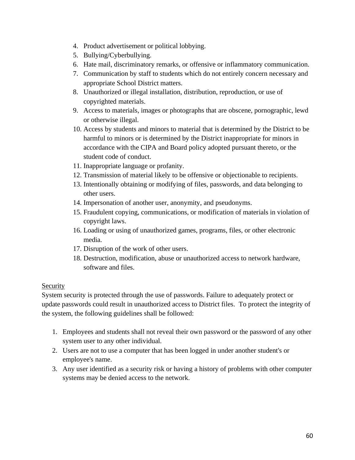- 4. Product advertisement or political lobbying.
- 5. Bullying/Cyberbullying.
- 6. Hate mail, discriminatory remarks, or offensive or inflammatory communication.
- 7. Communication by staff to students which do not entirely concern necessary and appropriate School District matters.
- 8. Unauthorized or illegal installation, distribution, reproduction, or use of copyrighted materials.
- 9. Access to materials, images or photographs that are obscene, pornographic, lewd or otherwise illegal.
- 10. Access by students and minors to material that is determined by the District to be harmful to minors or is determined by the District inappropriate for minors in accordance with the CIPA and Board policy adopted pursuant thereto, or the student code of conduct.
- 11. Inappropriate language or profanity.
- 12. Transmission of material likely to be offensive or objectionable to recipients.
- 13. Intentionally obtaining or modifying of files, passwords, and data belonging to other users.
- 14. Impersonation of another user, anonymity, and pseudonyms.
- 15. Fraudulent copying, communications, or modification of materials in violation of copyright laws.
- 16. Loading or using of unauthorized games, programs, files, or other electronic media.
- 17. Disruption of the work of other users.
- 18. Destruction, modification, abuse or unauthorized access to network hardware, software and files.

# Security

System security is protected through the use of passwords. Failure to adequately protect or update passwords could result in unauthorized access to District files. To protect the integrity of the system, the following guidelines shall be followed:

- 1. Employees and students shall not reveal their own password or the password of any other system user to any other individual.
- 2. Users are not to use a computer that has been logged in under another student's or employee's name.
- 3. Any user identified as a security risk or having a history of problems with other computer systems may be denied access to the network.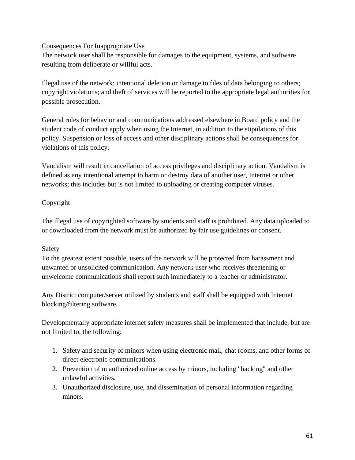#### Consequences For Inappropriate Use

The network user shall be responsible for damages to the equipment, systems, and software resulting from deliberate or willful acts.

Illegal use of the network; intentional deletion or damage to files of data belonging to others; copyright violations; and theft of services will be reported to the appropriate legal authorities for possible prosecution.

General rules for behavior and communications addressed elsewhere in Board policy and the student code of conduct apply when using the Internet, in addition to the stipulations of this policy. Suspension or loss of access and other disciplinary actions shall be consequences for violations of this policy.

Vandalism will result in cancellation of access privileges and disciplinary action. Vandalism is defined as any intentional attempt to harm or destroy data of another user, Internet or other networks; this includes but is not limited to uploading or creating computer viruses.

### **Copyright**

The illegal use of copyrighted software by students and staff is prohibited. Any data uploaded to or downloaded from the network must be authorized by fair use guidelines or consent.

# **Safety**

To the greatest extent possible, users of the network will be protected from harassment and unwanted or unsolicited communication. Any network user who receives threatening or unwelcome communications shall report such immediately to a teacher or administrator.

Any District computer/server utilized by students and staff shall be equipped with Internet blocking/filtering software.

Developmentally appropriate internet safety measures shall be implemented that include, but are not limited to, the following:

- 1. Safety and security of minors when using electronic mail, chat rooms, and other forms of direct electronic communications.
- 2. Prevention of unauthorized online access by minors, including "hacking" and other unlawful activities.
- 3. Unauthorized disclosure, use, and dissemination of personal information regarding minors.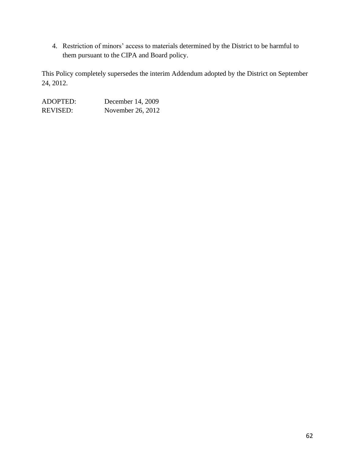4. Restriction of minors' access to materials determined by the District to be harmful to them pursuant to the CIPA and Board policy.

This Policy completely supersedes the interim Addendum adopted by the District on September 24, 2012.

| ADOPTED:        | December 14, 2009 |
|-----------------|-------------------|
| <b>REVISED:</b> | November 26, 2012 |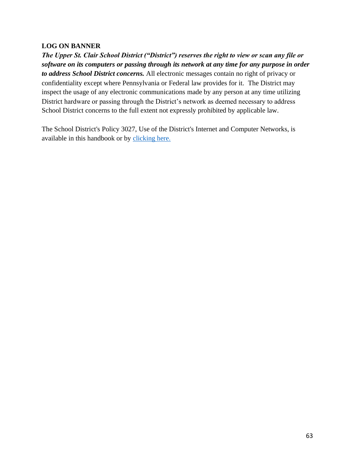#### **LOG ON BANNER**

*The Upper St. Clair School District ("District") reserves the right to view or scan any file or software on its computers or passing through its network at any time for any purpose in order to address School District concerns.* All electronic messages contain no right of privacy or confidentiality except where Pennsylvania or Federal law provides for it. The District may inspect the usage of any electronic communications made by any person at any time utilizing District hardware or passing through the District's network as deemed necessary to address School District concerns to the full extent not expressly prohibited by applicable law.

The School District's Policy 3027, Use of the District's Internet and Computer Networks, is available in this handbook or by [clicking here.](https://www.uscsd.k12.pa.us/cms/lib/PA01000033/Centricity/Domain/17/3027-UseOfTheDistrictInternetAndComputerNetworks.pdf)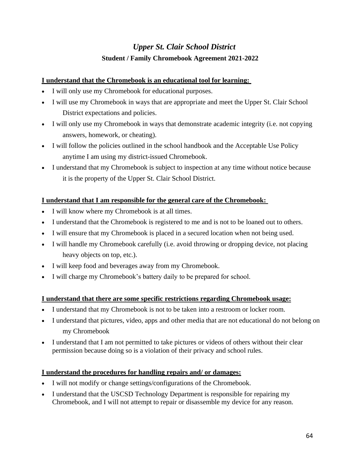# *Upper St. Clair School District* **Student / Family Chromebook Agreement 2021-2022**

# **I understand that the Chromebook is an educational tool for learning:**

- I will only use my Chromebook for educational purposes.
- I will use my Chromebook in ways that are appropriate and meet the Upper St. Clair School District expectations and policies.
- I will only use my Chromebook in ways that demonstrate academic integrity (i.e. not copying answers, homework, or cheating).
- I will follow the policies outlined in the school handbook and the Acceptable Use Policy anytime I am using my district-issued Chromebook.
- I understand that my Chromebook is subject to inspection at any time without notice because it is the property of the Upper St. Clair School District.

# **I understand that I am responsible for the general care of the Chromebook:**

- I will know where my Chromebook is at all times.
- I understand that the Chromebook is registered to me and is not to be loaned out to others.
- I will ensure that my Chromebook is placed in a secured location when not being used.
- I will handle my Chromebook carefully (i.e. avoid throwing or dropping device, not placing heavy objects on top, etc.).
- I will keep food and beverages away from my Chromebook.
- I will charge my Chromebook's battery daily to be prepared for school.

# **I understand that there are some specific restrictions regarding Chromebook usage:**

- I understand that my Chromebook is not to be taken into a restroom or locker room.
- I understand that pictures, video, apps and other media that are not educational do not belong on my Chromebook
- I understand that I am not permitted to take pictures or videos of others without their clear permission because doing so is a violation of their privacy and school rules.

# **I understand the procedures for handling repairs and/ or damages:**

- I will not modify or change settings/configurations of the Chromebook.
- I understand that the USCSD Technology Department is responsible for repairing my Chromebook, and I will not attempt to repair or disassemble my device for any reason.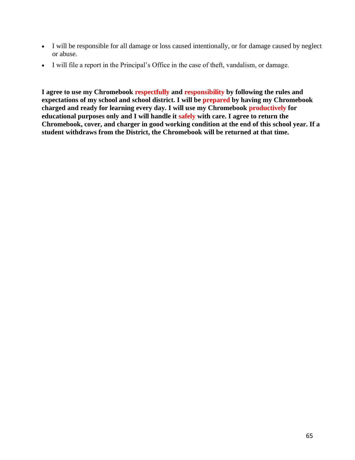- I will be responsible for all damage or loss caused intentionally, or for damage caused by neglect or abuse.
- I will file a report in the Principal's Office in the case of theft, vandalism, or damage.

**I agree to use my Chromebook respectfully and responsibility by following the rules and expectations of my school and school district. I will be prepared by having my Chromebook charged and ready for learning every day. I will use my Chromebook productively for educational purposes only and I will handle it safely with care. I agree to return the Chromebook, cover, and charger in good working condition at the end of this school year. If a student withdraws from the District, the Chromebook will be returned at that time.**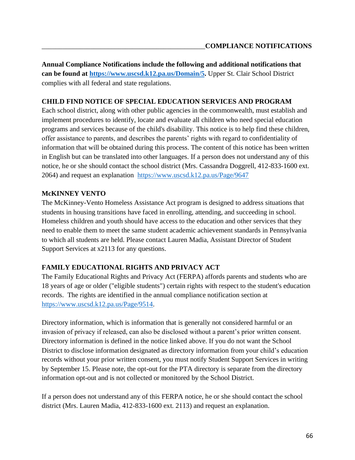**Annual Compliance Notifications include the following and additional notifications that can be found at [https://www.uscsd.k12.pa.us/Domain/5.](https://www.uscsd.k12.pa.us/Domain/5)** Upper St. Clair School District complies with all federal and state regulations.

### **CHILD FIND NOTICE OF SPECIAL EDUCATION SERVICES AND PROGRAM**

Each school district, along with other public agencies in the commonwealth, must establish and implement procedures to identify, locate and evaluate all children who need special education programs and services because of the child's disability. This notice is to help find these children, offer assistance to parents, and describes the parents' rights with regard to confidentiality of information that will be obtained during this process. The content of this notice has been written in English but can be translated into other languages. If a person does not understand any of this notice, he or she should contact the school district (Mrs. Cassandra Doggrell, 412-833-1600 ext. 2064) and request an explanation <https://www.uscsd.k12.pa.us/Page/9647>

#### **McKINNEY VENTO**

The McKinney-Vento Homeless Assistance Act program is designed to address situations that students in housing transitions have faced in enrolling, attending, and succeeding in school. Homeless children and youth should have access to the education and other services that they need to enable them to meet the same student academic achievement standards in Pennsylvania to which all students are held. Please contact Lauren Madia, Assistant Director of Student Support Services at x2113 for any questions.

# **FAMILY EDUCATIONAL RIGHTS AND PRIVACY ACT**

The Family Educational Rights and Privacy Act (FERPA) affords parents and students who are 18 years of age or older ("eligible students") certain rights with respect to the student's education records. The rights are identified in the annual compliance notification section at [https://www.uscsd.k12.pa.us/Page/9514.](https://www.uscsd.k12.pa.us/Page/9514)

Directory information, which is information that is generally not considered harmful or an invasion of privacy if released, can also be disclosed without a parent's prior written consent. Directory information is defined in the notice linked above. If you do not want the School District to disclose information designated as directory information from your child's education records without your prior written consent, you must notify Student Support Services in writing by September 15. Please note, the opt-out for the PTA directory is separate from the directory information opt-out and is not collected or monitored by the School District.

If a person does not understand any of this FERPA notice, he or she should contact the school district (Mrs. Lauren Madia, 412-833-1600 ext. 2113) and request an explanation.